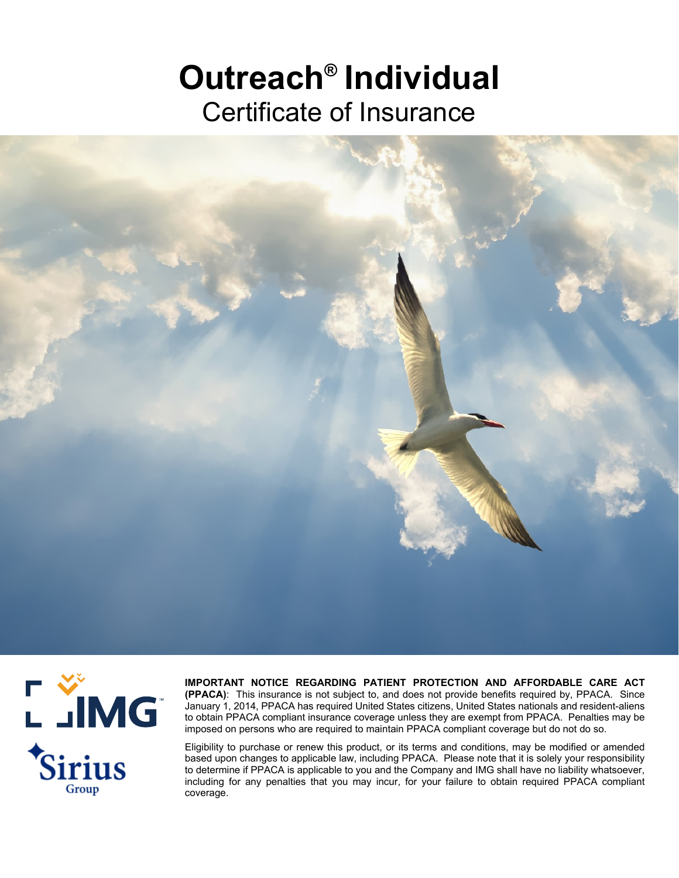# **Outreach® Individual** Certificate of Insurance





**IMPORTANT NOTICE REGARDING PATIENT PROTECTION AND AFFORDABLE CARE ACT (PPACA)**: This insurance is not subject to, and does not provide benefits required by, PPACA. Since January 1, 2014, PPACA has required United States citizens, United States nationals and resident-aliens to obtain PPACA compliant insurance coverage unless they are exempt from PPACA. Penalties may be imposed on persons who are required to maintain PPACA compliant coverage but do not do so.

Eligibility to purchase or renew this product, or its terms and conditions, may be modified or amended based upon changes to applicable law, including PPACA. Please note that it is solely your responsibility to determine if PPACA is applicable to you and the Company and IMG shall have no liability whatsoever, including for any penalties that you may incur, for your failure to obtain required PPACA compliant coverage.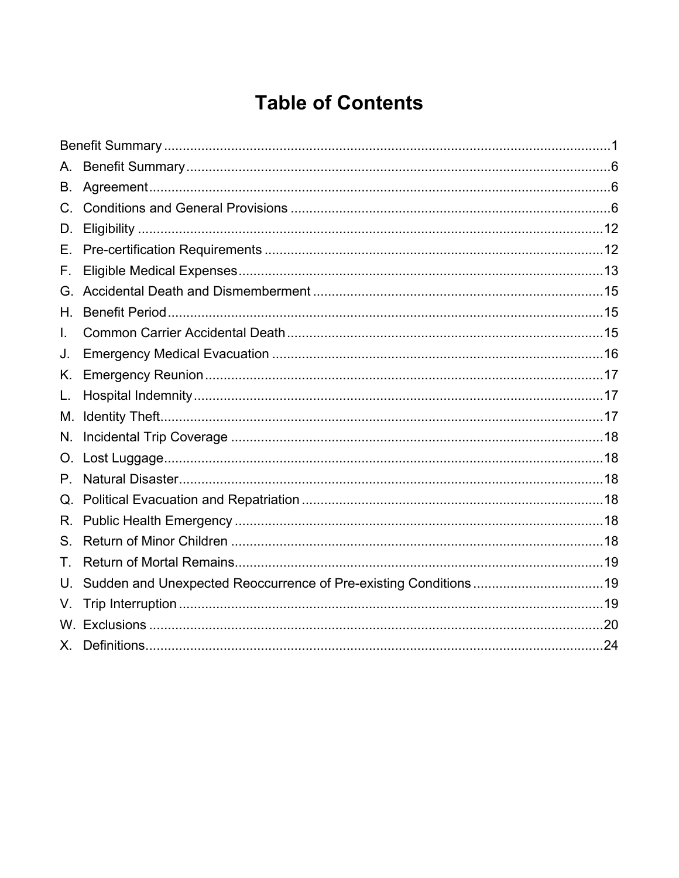### **Table of Contents**

| А. |  |
|----|--|
| В. |  |
|    |  |
| D. |  |
| Е. |  |
| F. |  |
| G. |  |
| Н. |  |
| L. |  |
| J. |  |
| Κ. |  |
| L. |  |
|    |  |
| N. |  |
| O. |  |
| Р. |  |
| Q. |  |
| R. |  |
| S. |  |
| Τ. |  |
| U. |  |
| V. |  |
|    |  |
| X. |  |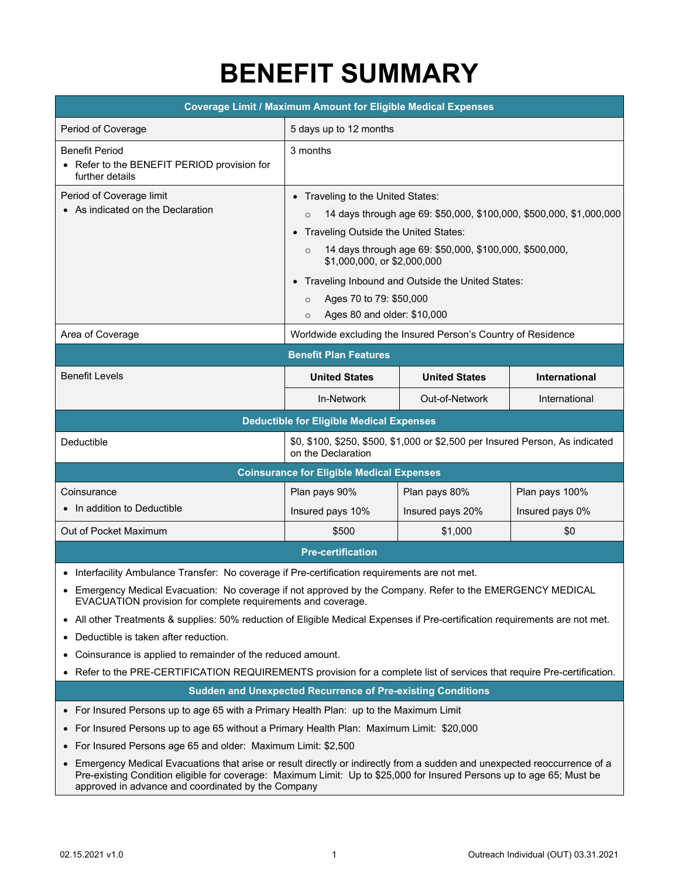## **BENEFIT SUMMARY**

<span id="page-2-0"></span>

| <b>Coverage Limit / Maximum Amount for Eligible Medical Expenses</b>                    |                                                                                                                                                                                                                                                                                                                                                                                                                                  |                      |                 |
|-----------------------------------------------------------------------------------------|----------------------------------------------------------------------------------------------------------------------------------------------------------------------------------------------------------------------------------------------------------------------------------------------------------------------------------------------------------------------------------------------------------------------------------|----------------------|-----------------|
| Period of Coverage                                                                      | 5 days up to 12 months                                                                                                                                                                                                                                                                                                                                                                                                           |                      |                 |
| <b>Benefit Period</b><br>• Refer to the BENEFIT PERIOD provision for<br>further details | 3 months                                                                                                                                                                                                                                                                                                                                                                                                                         |                      |                 |
| Period of Coverage limit<br>• As indicated on the Declaration                           | Traveling to the United States:<br>$\bullet$<br>14 days through age 69: \$50,000, \$100,000, \$500,000, \$1,000,000<br>$\circ$<br>Traveling Outside the United States:<br>$\bullet$<br>14 days through age 69: \$50,000, \$100,000, \$500,000,<br>$\circ$<br>\$1,000,000, or \$2,000,000<br>• Traveling Inbound and Outside the United States:<br>Ages 70 to 79: \$50,000<br>$\Omega$<br>Ages 80 and older: \$10,000<br>$\Omega$ |                      |                 |
| Area of Coverage                                                                        | Worldwide excluding the Insured Person's Country of Residence                                                                                                                                                                                                                                                                                                                                                                    |                      |                 |
| <b>Benefit Plan Features</b>                                                            |                                                                                                                                                                                                                                                                                                                                                                                                                                  |                      |                 |
| <b>Benefit Levels</b>                                                                   | <b>United States</b>                                                                                                                                                                                                                                                                                                                                                                                                             | <b>United States</b> | International   |
|                                                                                         | In-Network                                                                                                                                                                                                                                                                                                                                                                                                                       | Out-of-Network       | International   |
| <b>Deductible for Eligible Medical Expenses</b>                                         |                                                                                                                                                                                                                                                                                                                                                                                                                                  |                      |                 |
| Deductible                                                                              | \$0, \$100, \$250, \$500, \$1,000 or \$2,500 per Insured Person, As indicated<br>on the Declaration                                                                                                                                                                                                                                                                                                                              |                      |                 |
| <b>Coinsurance for Eligible Medical Expenses</b>                                        |                                                                                                                                                                                                                                                                                                                                                                                                                                  |                      |                 |
| Coinsurance                                                                             | Plan pays 90%                                                                                                                                                                                                                                                                                                                                                                                                                    | Plan pays 80%        | Plan pays 100%  |
| • In addition to Deductible                                                             | Insured pays 10%                                                                                                                                                                                                                                                                                                                                                                                                                 | Insured pays 20%     | Insured pays 0% |
| Out of Pocket Maximum                                                                   | \$500                                                                                                                                                                                                                                                                                                                                                                                                                            | \$1,000              | \$0             |
|                                                                                         | <b>Pre-certification</b>                                                                                                                                                                                                                                                                                                                                                                                                         |                      |                 |

• Interfacility Ambulance Transfer: No coverage if Pre-certification requirements are not met.

- Emergency Medical Evacuation: No coverage if not approved by the Company. Refer to the EMERGENCY MEDICAL EVACUATION provision for complete requirements and coverage.
- All other Treatments & supplies: 50% reduction of Eligible Medical Expenses if Pre-certification requirements are not met.
- Deductible is taken after reduction.
- Coinsurance is applied to remainder of the reduced amount.
- Refer to the PRE-CERTIFICATION REQUIREMENTS provision for a complete list of services that require Pre-certification.

**Sudden and Unexpected Recurrence of Pre-existing Conditions**

- For Insured Persons up to age 65 with a Primary Health Plan: up to the Maximum Limit
- For Insured Persons up to age 65 without a Primary Health Plan: Maximum Limit: \$20,000
- For Insured Persons age 65 and older: Maximum Limit: \$2,500
- Emergency Medical Evacuations that arise or result directly or indirectly from a sudden and unexpected reoccurrence of a Pre-existing Condition eligible for coverage: Maximum Limit: Up to \$25,000 for Insured Persons up to age 65; Must be approved in advance and coordinated by the Company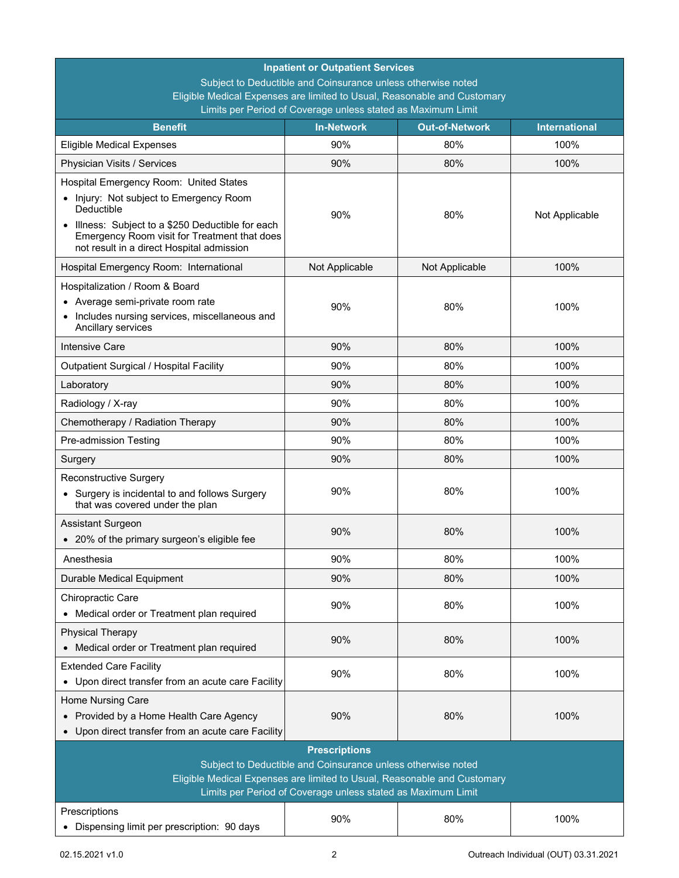| <b>Inpatient or Outpatient Services</b>                                                                                                      |                |                |                |  |
|----------------------------------------------------------------------------------------------------------------------------------------------|----------------|----------------|----------------|--|
| Subject to Deductible and Coinsurance unless otherwise noted                                                                                 |                |                |                |  |
| Eligible Medical Expenses are limited to Usual, Reasonable and Customary<br>Limits per Period of Coverage unless stated as Maximum Limit     |                |                |                |  |
| <b>Out-of-Network</b><br><b>Benefit</b><br><b>In-Network</b><br><b>International</b>                                                         |                |                |                |  |
| <b>Eligible Medical Expenses</b>                                                                                                             | 90%            | 80%            | 100%           |  |
| Physician Visits / Services                                                                                                                  | 90%            | 80%            | 100%           |  |
| Hospital Emergency Room: United States                                                                                                       |                |                |                |  |
| • Injury: Not subject to Emergency Room<br>Deductible                                                                                        | 90%            | 80%            | Not Applicable |  |
| Illness: Subject to a \$250 Deductible for each<br>Emergency Room visit for Treatment that does<br>not result in a direct Hospital admission |                |                |                |  |
| Hospital Emergency Room: International                                                                                                       | Not Applicable | Not Applicable | 100%           |  |
| Hospitalization / Room & Board                                                                                                               |                |                |                |  |
| • Average semi-private room rate                                                                                                             | 90%            | 80%            | 100%           |  |
| • Includes nursing services, miscellaneous and<br>Ancillary services                                                                         |                |                |                |  |
| <b>Intensive Care</b>                                                                                                                        | 90%            | 80%            | 100%           |  |
| <b>Outpatient Surgical / Hospital Facility</b>                                                                                               | 90%            | 80%            | 100%           |  |
| Laboratory                                                                                                                                   | 90%            | 80%            | 100%           |  |
| Radiology / X-ray                                                                                                                            | 90%            | 80%            | 100%           |  |
| Chemotherapy / Radiation Therapy                                                                                                             | 90%            | 80%            | 100%           |  |
| Pre-admission Testing                                                                                                                        | 90%            | 80%            | 100%           |  |
| Surgery                                                                                                                                      | 90%            | 80%            | 100%           |  |
| Reconstructive Surgery                                                                                                                       |                |                |                |  |
| • Surgery is incidental to and follows Surgery<br>that was covered under the plan                                                            | 90%            | 80%            | 100%           |  |
| <b>Assistant Surgeon</b><br>• 20% of the primary surgeon's eligible fee                                                                      | 90%            | 80%            | 100%           |  |
| Anesthesia                                                                                                                                   | 90%            | 80%            | 100%           |  |
| Durable Medical Equipment                                                                                                                    | 90%            | 80%            | 100%           |  |
| Chiropractic Care<br>• Medical order or Treatment plan required                                                                              | 90%            | 80%            | 100%           |  |
| <b>Physical Therapy</b>                                                                                                                      |                |                |                |  |
| • Medical order or Treatment plan required                                                                                                   | 90%            | 80%            | 100%           |  |
| <b>Extended Care Facility</b>                                                                                                                |                |                |                |  |
| • Upon direct transfer from an acute care Facility                                                                                           | 90%            | 80%            | 100%           |  |
| Home Nursing Care                                                                                                                            |                |                |                |  |
| • Provided by a Home Health Care Agency                                                                                                      | 90%            | 80%            | 100%           |  |
| • Upon direct transfer from an acute care Facility                                                                                           |                |                |                |  |
| <b>Prescriptions</b><br>Subject to Deductible and Coinsurance unless otherwise noted                                                         |                |                |                |  |
| Eligible Medical Expenses are limited to Usual, Reasonable and Customary                                                                     |                |                |                |  |
| Limits per Period of Coverage unless stated as Maximum Limit                                                                                 |                |                |                |  |
| Prescriptions                                                                                                                                | 90%            | 80%            | 100%           |  |
| • Dispensing limit per prescription: 90 days                                                                                                 |                |                |                |  |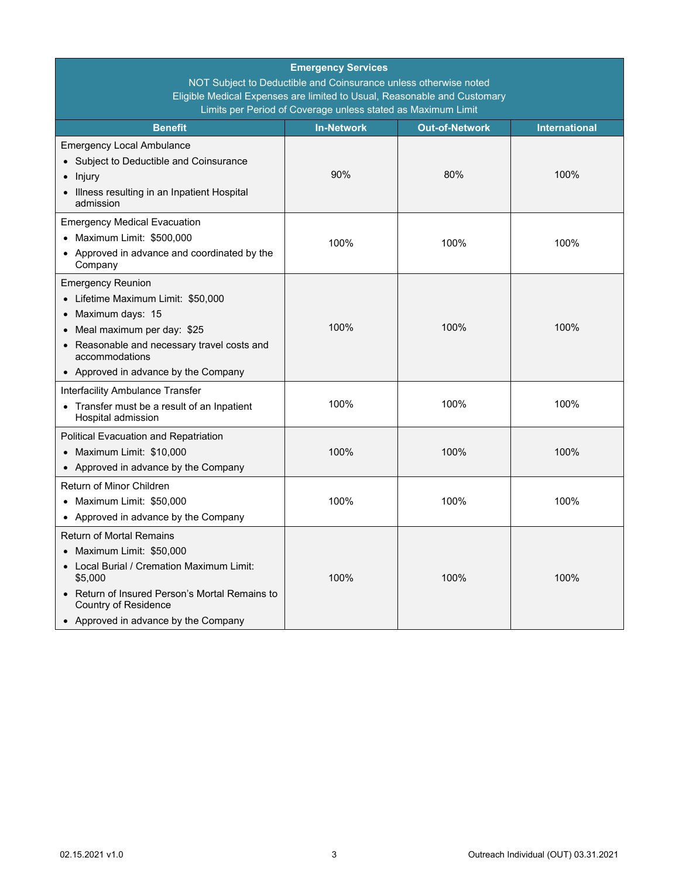| <b>Emergency Services</b><br>NOT Subject to Deductible and Coinsurance unless otherwise noted<br>Eligible Medical Expenses are limited to Usual, Reasonable and Customary<br>Limits per Period of Coverage unless stated as Maximum Limit |      |      |      |  |  |
|-------------------------------------------------------------------------------------------------------------------------------------------------------------------------------------------------------------------------------------------|------|------|------|--|--|
| <b>Benefit</b><br><b>In-Network</b><br><b>Out-of-Network</b><br><b>International</b>                                                                                                                                                      |      |      |      |  |  |
| <b>Emergency Local Ambulance</b><br>• Subject to Deductible and Coinsurance<br>Injury<br>Illness resulting in an Inpatient Hospital<br>admission                                                                                          | 90%  | 80%  | 100% |  |  |
| <b>Emergency Medical Evacuation</b><br>• Maximum Limit: \$500,000<br>• Approved in advance and coordinated by the<br>Company                                                                                                              | 100% | 100% | 100% |  |  |
| <b>Emergency Reunion</b><br>• Lifetime Maximum Limit: \$50,000<br>• Maximum days: 15<br>• Meal maximum per day: \$25<br>• Reasonable and necessary travel costs and<br>accommodations<br>• Approved in advance by the Company             | 100% | 100% | 100% |  |  |
| Interfacility Ambulance Transfer<br>• Transfer must be a result of an Inpatient<br>Hospital admission                                                                                                                                     | 100% | 100% | 100% |  |  |
| Political Evacuation and Repatriation<br>• Maximum Limit: \$10,000<br>• Approved in advance by the Company                                                                                                                                | 100% | 100% | 100% |  |  |
| Return of Minor Children<br>• Maximum Limit: \$50,000<br>• Approved in advance by the Company                                                                                                                                             | 100% | 100% | 100% |  |  |
| Return of Mortal Remains<br>• Maximum Limit: \$50,000<br>• Local Burial / Cremation Maximum Limit:<br>\$5,000<br>• Return of Insured Person's Mortal Remains to<br>Country of Residence<br>• Approved in advance by the Company           | 100% | 100% | 100% |  |  |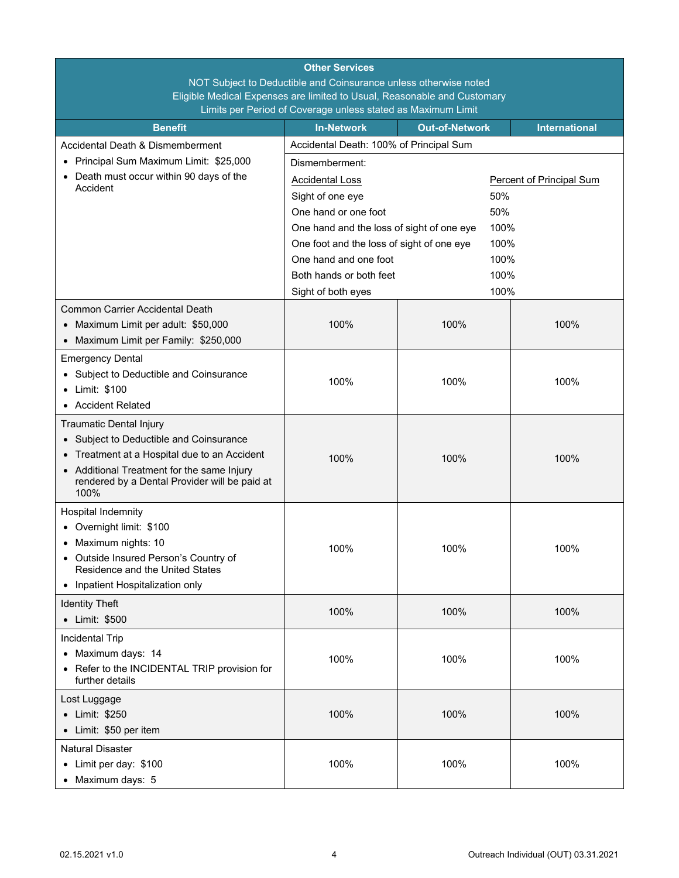| <b>Other Services</b>                                                               |                                           |                       |                                 |  |
|-------------------------------------------------------------------------------------|-------------------------------------------|-----------------------|---------------------------------|--|
| NOT Subject to Deductible and Coinsurance unless otherwise noted                    |                                           |                       |                                 |  |
| Eligible Medical Expenses are limited to Usual, Reasonable and Customary            |                                           |                       |                                 |  |
| Limits per Period of Coverage unless stated as Maximum Limit                        |                                           |                       |                                 |  |
| <b>Benefit</b>                                                                      | <b>In-Network</b>                         | <b>Out-of-Network</b> | <b>International</b>            |  |
| Accidental Death & Dismemberment                                                    | Accidental Death: 100% of Principal Sum   |                       |                                 |  |
| Principal Sum Maximum Limit: \$25,000                                               | Dismemberment:                            |                       |                                 |  |
| • Death must occur within 90 days of the<br>Accident                                | <b>Accidental Loss</b>                    |                       | <b>Percent of Principal Sum</b> |  |
|                                                                                     | Sight of one eye                          | 50%                   |                                 |  |
|                                                                                     | One hand or one foot                      | 50%                   |                                 |  |
|                                                                                     | One hand and the loss of sight of one eye | 100%                  |                                 |  |
|                                                                                     | One foot and the loss of sight of one eye | 100%                  |                                 |  |
|                                                                                     | One hand and one foot                     | 100%                  |                                 |  |
|                                                                                     | Both hands or both feet                   | 100%                  |                                 |  |
|                                                                                     | Sight of both eyes                        | 100%                  |                                 |  |
| <b>Common Carrier Accidental Death</b>                                              |                                           |                       |                                 |  |
| • Maximum Limit per adult: \$50,000                                                 | 100%                                      | 100%                  | 100%                            |  |
| • Maximum Limit per Family: \$250,000                                               |                                           |                       |                                 |  |
| <b>Emergency Dental</b>                                                             |                                           |                       |                                 |  |
| Subject to Deductible and Coinsurance                                               |                                           |                       |                                 |  |
| • Limit: \$100                                                                      | 100%                                      | 100%                  | 100%                            |  |
| • Accident Related                                                                  |                                           |                       |                                 |  |
| <b>Traumatic Dental Injury</b>                                                      |                                           |                       |                                 |  |
| Subject to Deductible and Coinsurance                                               |                                           |                       |                                 |  |
| Treatment at a Hospital due to an Accident                                          |                                           |                       |                                 |  |
| • Additional Treatment for the same Injury                                          | 100%                                      | 100%                  | 100%                            |  |
| rendered by a Dental Provider will be paid at                                       |                                           |                       |                                 |  |
| 100%                                                                                |                                           |                       |                                 |  |
| Hospital Indemnity                                                                  |                                           |                       |                                 |  |
| Overnight limit: \$100                                                              |                                           |                       |                                 |  |
| • Maximum nights: 10                                                                | 100%                                      | 100%                  | 100%                            |  |
| Outside Insured Person's Country of<br>$\bullet$<br>Residence and the United States |                                           |                       |                                 |  |
| • Inpatient Hospitalization only                                                    |                                           |                       |                                 |  |
|                                                                                     |                                           |                       |                                 |  |
| <b>Identity Theft</b>                                                               | 100%                                      | 100%                  | 100%                            |  |
| • Limit: \$500                                                                      |                                           |                       |                                 |  |
| <b>Incidental Trip</b>                                                              |                                           |                       |                                 |  |
| • Maximum days: 14                                                                  | 100%                                      | 100%                  | 100%                            |  |
| Refer to the INCIDENTAL TRIP provision for<br>further details                       |                                           |                       |                                 |  |
| Lost Luggage                                                                        |                                           |                       |                                 |  |
| • Limit: \$250                                                                      | 100%                                      | 100%                  | 100%                            |  |
| • Limit: \$50 per item                                                              |                                           |                       |                                 |  |
| <b>Natural Disaster</b>                                                             |                                           |                       |                                 |  |
| • Limit per day: \$100                                                              | 100%                                      | 100%                  | 100%                            |  |
| • Maximum days: 5                                                                   |                                           |                       |                                 |  |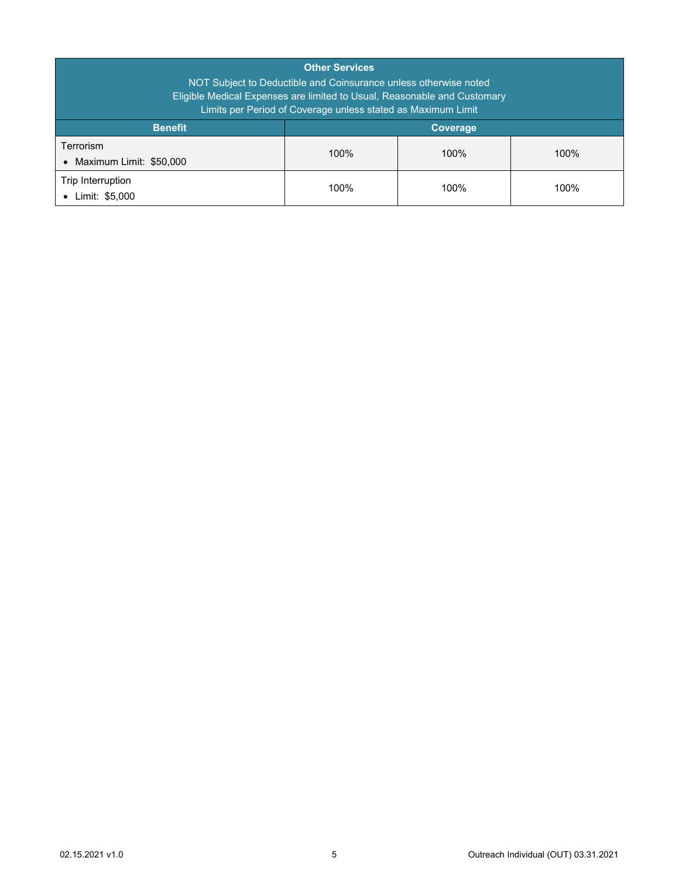| <b>Other Services</b><br>NOT Subject to Deductible and Coinsurance unless otherwise noted<br>Eligible Medical Expenses are limited to Usual, Reasonable and Customary<br>Limits per Period of Coverage unless stated as Maximum Limit |                 |      |      |
|---------------------------------------------------------------------------------------------------------------------------------------------------------------------------------------------------------------------------------------|-----------------|------|------|
| <b>Benefit</b>                                                                                                                                                                                                                        | <b>Coverage</b> |      |      |
| Terrorism<br>Maximum Limit: \$50,000<br>$\bullet$                                                                                                                                                                                     | 100%            | 100% | 100% |
| Trip Interruption<br>Limit: \$5,000<br>$\bullet$                                                                                                                                                                                      | 100%            | 100% | 100% |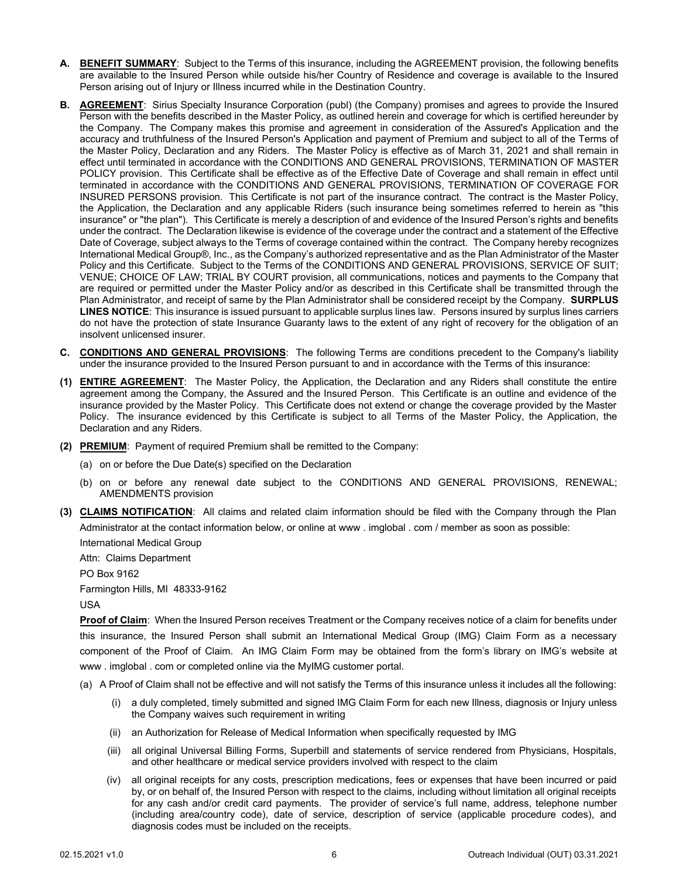- <span id="page-7-0"></span>**A. BENEFIT SUMMARY**: Subject to the Terms of this insurance, including the AGREEMENT provision, the following benefits are available to the Insured Person while outside his/her Country of Residence and coverage is available to the Insured Person arising out of Injury or Illness incurred while in the Destination Country.
- <span id="page-7-1"></span>**B. AGREEMENT**: Sirius Specialty Insurance Corporation (publ) (the Company) promises and agrees to provide the Insured Person with the benefits described in the Master Policy, as outlined herein and coverage for which is certified hereunder by the Company. The Company makes this promise and agreement in consideration of the Assured's Application and the accuracy and truthfulness of the Insured Person's Application and payment of Premium and subject to all of the Terms of the Master Policy, Declaration and any Riders. The Master Policy is effective as of March 31, 2021 and shall remain in effect until terminated in accordance with the CONDITIONS AND GENERAL PROVISIONS, TERMINATION OF MASTER POLICY provision. This Certificate shall be effective as of the Effective Date of Coverage and shall remain in effect until terminated in accordance with the CONDITIONS AND GENERAL PROVISIONS, TERMINATION OF COVERAGE FOR INSURED PERSONS provision. This Certificate is not part of the insurance contract. The contract is the Master Policy, the Application, the Declaration and any applicable Riders (such insurance being sometimes referred to herein as "this insurance" or "the plan"). This Certificate is merely a description of and evidence of the Insured Person's rights and benefits under the contract. The Declaration likewise is evidence of the coverage under the contract and a statement of the Effective Date of Coverage, subject always to the Terms of coverage contained within the contract. The Company hereby recognizes International Medical Group®, Inc., as the Company's authorized representative and as the Plan Administrator of the Master Policy and this Certificate. Subject to the Terms of the CONDITIONS AND GENERAL PROVISIONS, SERVICE OF SUIT; VENUE; CHOICE OF LAW; TRIAL BY COURT provision, all communications, notices and payments to the Company that are required or permitted under the Master Policy and/or as described in this Certificate shall be transmitted through the Plan Administrator, and receipt of same by the Plan Administrator shall be considered receipt by the Company. **SURPLUS LINES NOTICE**: This insurance is issued pursuant to applicable surplus lines law. Persons insured by surplus lines carriers do not have the protection of state Insurance Guaranty laws to the extent of any right of recovery for the obligation of an insolvent unlicensed insurer.
- <span id="page-7-2"></span>**C. CONDITIONS AND GENERAL PROVISIONS**: The following Terms are conditions precedent to the Company's liability under the insurance provided to the Insured Person pursuant to and in accordance with the Terms of this insurance:
- **(1) ENTIRE AGREEMENT**: The Master Policy, the Application, the Declaration and any Riders shall constitute the entire agreement among the Company, the Assured and the Insured Person. This Certificate is an outline and evidence of the insurance provided by the Master Policy. This Certificate does not extend or change the coverage provided by the Master Policy. The insurance evidenced by this Certificate is subject to all Terms of the Master Policy, the Application, the Declaration and any Riders.
- **(2) PREMIUM**: Payment of required Premium shall be remitted to the Company:
	- (a) on or before the Due Date(s) specified on the Declaration
	- (b) on or before any renewal date subject to the CONDITIONS AND GENERAL PROVISIONS, RENEWAL; AMENDMENTS provision
- **(3) CLAIMS NOTIFICATION**: All claims and related claim information should be filed with the Company through the Plan Administrator at the contact information below, or online at www . imglobal . com / member as soon as possible: International Medical Group

Attn: Claims Department PO Box 9162

Farmington Hills, MI 48333-9162

USA

**Proof of Claim**: When the Insured Person receives Treatment or the Company receives notice of a claim for benefits under this insurance, the Insured Person shall submit an International Medical Group (IMG) Claim Form as a necessary component of the Proof of Claim. An IMG Claim Form may be obtained from the form's library on IMG's website at www . imglobal . com or completed online via the MyIMG customer portal.

- (a) A Proof of Claim shall not be effective and will not satisfy the Terms of this insurance unless it includes all the following:
	- (i) a duly completed, timely submitted and signed IMG Claim Form for each new Illness, diagnosis or Injury unless the Company waives such requirement in writing
	- (ii) an Authorization for Release of Medical Information when specifically requested by IMG
	- (iii) all original Universal Billing Forms, Superbill and statements of service rendered from Physicians, Hospitals, and other healthcare or medical service providers involved with respect to the claim
	- (iv) all original receipts for any costs, prescription medications, fees or expenses that have been incurred or paid by, or on behalf of, the Insured Person with respect to the claims, including without limitation all original receipts for any cash and/or credit card payments. The provider of service's full name, address, telephone number (including area/country code), date of service, description of service (applicable procedure codes), and diagnosis codes must be included on the receipts.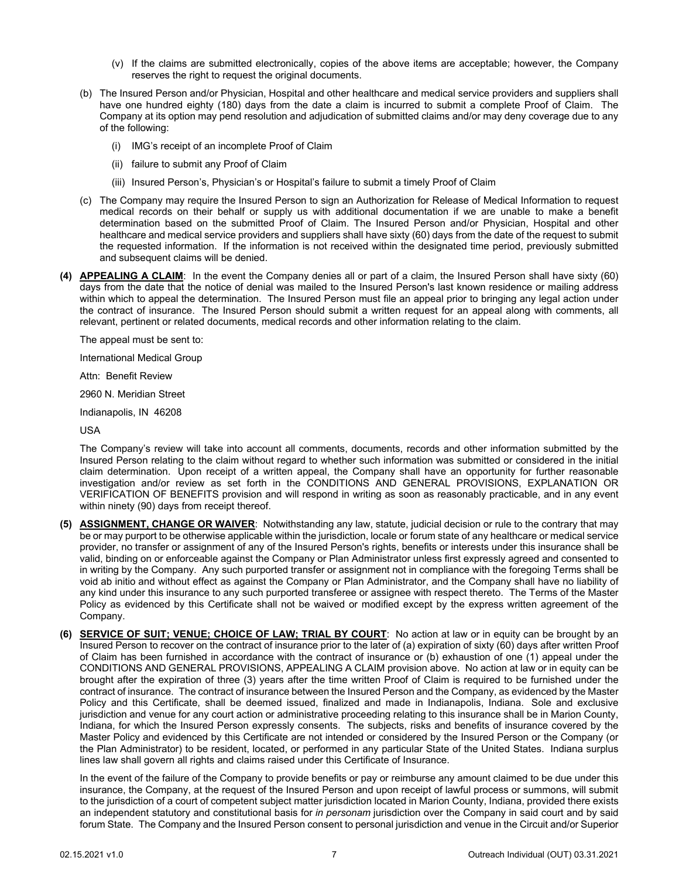- (v) If the claims are submitted electronically, copies of the above items are acceptable; however, the Company reserves the right to request the original documents.
- (b) The Insured Person and/or Physician, Hospital and other healthcare and medical service providers and suppliers shall have one hundred eighty (180) days from the date a claim is incurred to submit a complete Proof of Claim. The Company at its option may pend resolution and adjudication of submitted claims and/or may deny coverage due to any of the following:
	- (i) IMG's receipt of an incomplete Proof of Claim
	- (ii) failure to submit any Proof of Claim
	- (iii) Insured Person's, Physician's or Hospital's failure to submit a timely Proof of Claim
- (c) The Company may require the Insured Person to sign an Authorization for Release of Medical Information to request medical records on their behalf or supply us with additional documentation if we are unable to make a benefit determination based on the submitted Proof of Claim. The Insured Person and/or Physician, Hospital and other healthcare and medical service providers and suppliers shall have sixty (60) days from the date of the request to submit the requested information. If the information is not received within the designated time period, previously submitted and subsequent claims will be denied.
- **(4) APPEALING A CLAIM**: In the event the Company denies all or part of a claim, the Insured Person shall have sixty (60) days from the date that the notice of denial was mailed to the Insured Person's last known residence or mailing address within which to appeal the determination. The Insured Person must file an appeal prior to bringing any legal action under the contract of insurance. The Insured Person should submit a written request for an appeal along with comments, all relevant, pertinent or related documents, medical records and other information relating to the claim.

The appeal must be sent to:

International Medical Group

Attn: Benefit Review

2960 N. Meridian Street

Indianapolis, IN 46208

USA

The Company's review will take into account all comments, documents, records and other information submitted by the Insured Person relating to the claim without regard to whether such information was submitted or considered in the initial claim determination. Upon receipt of a written appeal, the Company shall have an opportunity for further reasonable investigation and/or review as set forth in the CONDITIONS AND GENERAL PROVISIONS, EXPLANATION OR VERIFICATION OF BENEFITS provision and will respond in writing as soon as reasonably practicable, and in any event within ninety (90) days from receipt thereof.

- **(5) ASSIGNMENT, CHANGE OR WAIVER**: Notwithstanding any law, statute, judicial decision or rule to the contrary that may be or may purport to be otherwise applicable within the jurisdiction, locale or forum state of any healthcare or medical service provider, no transfer or assignment of any of the Insured Person's rights, benefits or interests under this insurance shall be valid, binding on or enforceable against the Company or Plan Administrator unless first expressly agreed and consented to in writing by the Company. Any such purported transfer or assignment not in compliance with the foregoing Terms shall be void ab initio and without effect as against the Company or Plan Administrator, and the Company shall have no liability of any kind under this insurance to any such purported transferee or assignee with respect thereto. The Terms of the Master Policy as evidenced by this Certificate shall not be waived or modified except by the express written agreement of the Company.
- **(6) SERVICE OF SUIT; VENUE; CHOICE OF LAW; TRIAL BY COURT**: No action at law or in equity can be brought by an Insured Person to recover on the contract of insurance prior to the later of (a) expiration of sixty (60) days after written Proof of Claim has been furnished in accordance with the contract of insurance or (b) exhaustion of one (1) appeal under the CONDITIONS AND GENERAL PROVISIONS, APPEALING A CLAIM provision above. No action at law or in equity can be brought after the expiration of three (3) years after the time written Proof of Claim is required to be furnished under the contract of insurance. The contract of insurance between the Insured Person and the Company, as evidenced by the Master Policy and this Certificate, shall be deemed issued, finalized and made in Indianapolis, Indiana. Sole and exclusive jurisdiction and venue for any court action or administrative proceeding relating to this insurance shall be in Marion County, Indiana, for which the Insured Person expressly consents. The subjects, risks and benefits of insurance covered by the Master Policy and evidenced by this Certificate are not intended or considered by the Insured Person or the Company (or the Plan Administrator) to be resident, located, or performed in any particular State of the United States. Indiana surplus lines law shall govern all rights and claims raised under this Certificate of Insurance.

In the event of the failure of the Company to provide benefits or pay or reimburse any amount claimed to be due under this insurance, the Company, at the request of the Insured Person and upon receipt of lawful process or summons, will submit to the jurisdiction of a court of competent subject matter jurisdiction located in Marion County, Indiana, provided there exists an independent statutory and constitutional basis for *in personam* jurisdiction over the Company in said court and by said forum State. The Company and the Insured Person consent to personal jurisdiction and venue in the Circuit and/or Superior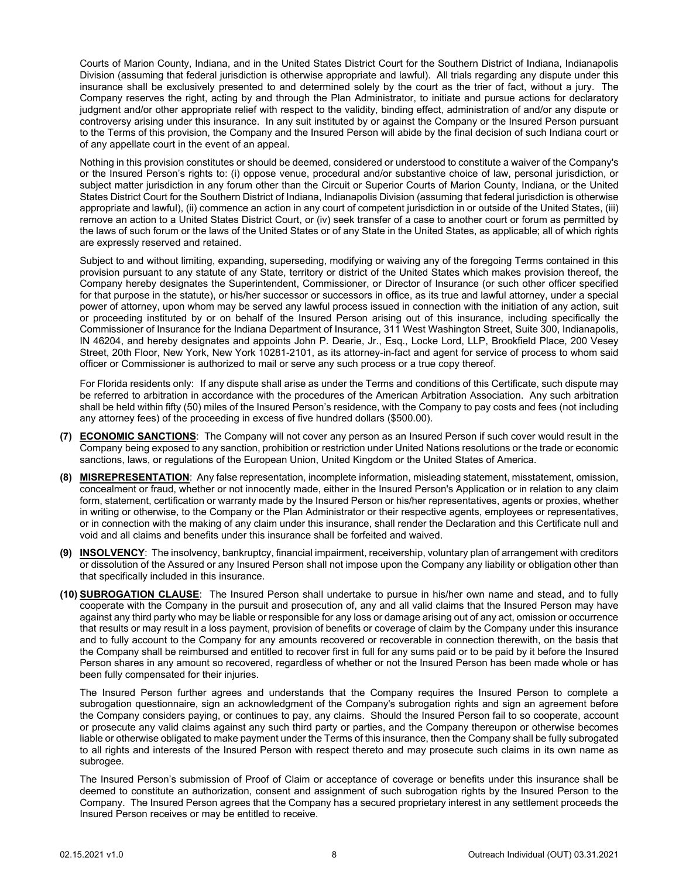Courts of Marion County, Indiana, and in the United States District Court for the Southern District of Indiana, Indianapolis Division (assuming that federal jurisdiction is otherwise appropriate and lawful). All trials regarding any dispute under this insurance shall be exclusively presented to and determined solely by the court as the trier of fact, without a jury. The Company reserves the right, acting by and through the Plan Administrator, to initiate and pursue actions for declaratory judgment and/or other appropriate relief with respect to the validity, binding effect, administration of and/or any dispute or controversy arising under this insurance. In any suit instituted by or against the Company or the Insured Person pursuant to the Terms of this provision, the Company and the Insured Person will abide by the final decision of such Indiana court or of any appellate court in the event of an appeal.

Nothing in this provision constitutes or should be deemed, considered or understood to constitute a waiver of the Company's or the Insured Person's rights to: (i) oppose venue, procedural and/or substantive choice of law, personal jurisdiction, or subject matter jurisdiction in any forum other than the Circuit or Superior Courts of Marion County, Indiana, or the United States District Court for the Southern District of Indiana, Indianapolis Division (assuming that federal jurisdiction is otherwise appropriate and lawful), (ii) commence an action in any court of competent jurisdiction in or outside of the United States, (iii) remove an action to a United States District Court, or (iv) seek transfer of a case to another court or forum as permitted by the laws of such forum or the laws of the United States or of any State in the United States, as applicable; all of which rights are expressly reserved and retained.

Subject to and without limiting, expanding, superseding, modifying or waiving any of the foregoing Terms contained in this provision pursuant to any statute of any State, territory or district of the United States which makes provision thereof, the Company hereby designates the Superintendent, Commissioner, or Director of Insurance (or such other officer specified for that purpose in the statute), or his/her successor or successors in office, as its true and lawful attorney, under a special power of attorney, upon whom may be served any lawful process issued in connection with the initiation of any action, suit or proceeding instituted by or on behalf of the Insured Person arising out of this insurance, including specifically the Commissioner of Insurance for the Indiana Department of Insurance, 311 West Washington Street, Suite 300, Indianapolis, IN 46204, and hereby designates and appoints John P. Dearie, Jr., Esq., Locke Lord, LLP, Brookfield Place, 200 Vesey Street, 20th Floor, New York, New York 10281-2101, as its attorney-in-fact and agent for service of process to whom said officer or Commissioner is authorized to mail or serve any such process or a true copy thereof.

For Florida residents only: If any dispute shall arise as under the Terms and conditions of this Certificate, such dispute may be referred to arbitration in accordance with the procedures of the American Arbitration Association. Any such arbitration shall be held within fifty (50) miles of the Insured Person's residence, with the Company to pay costs and fees (not including any attorney fees) of the proceeding in excess of five hundred dollars (\$500.00).

- **(7) ECONOMIC SANCTIONS**: The Company will not cover any person as an Insured Person if such cover would result in the Company being exposed to any sanction, prohibition or restriction under United Nations resolutions or the trade or economic sanctions, laws, or regulations of the European Union, United Kingdom or the United States of America.
- **(8) MISREPRESENTATION**: Any false representation, incomplete information, misleading statement, misstatement, omission, concealment or fraud, whether or not innocently made, either in the Insured Person's Application or in relation to any claim form, statement, certification or warranty made by the Insured Person or his/her representatives, agents or proxies, whether in writing or otherwise, to the Company or the Plan Administrator or their respective agents, employees or representatives, or in connection with the making of any claim under this insurance, shall render the Declaration and this Certificate null and void and all claims and benefits under this insurance shall be forfeited and waived.
- **(9) INSOLVENCY**: The insolvency, bankruptcy, financial impairment, receivership, voluntary plan of arrangement with creditors or dissolution of the Assured or any Insured Person shall not impose upon the Company any liability or obligation other than that specifically included in this insurance.
- **(10) SUBROGATION CLAUSE**: The Insured Person shall undertake to pursue in his/her own name and stead, and to fully cooperate with the Company in the pursuit and prosecution of, any and all valid claims that the Insured Person may have against any third party who may be liable or responsible for any loss or damage arising out of any act, omission or occurrence that results or may result in a loss payment, provision of benefits or coverage of claim by the Company under this insurance and to fully account to the Company for any amounts recovered or recoverable in connection therewith, on the basis that the Company shall be reimbursed and entitled to recover first in full for any sums paid or to be paid by it before the Insured Person shares in any amount so recovered, regardless of whether or not the Insured Person has been made whole or has been fully compensated for their injuries.

The Insured Person further agrees and understands that the Company requires the Insured Person to complete a subrogation questionnaire, sign an acknowledgment of the Company's subrogation rights and sign an agreement before the Company considers paying, or continues to pay, any claims. Should the Insured Person fail to so cooperate, account or prosecute any valid claims against any such third party or parties, and the Company thereupon or otherwise becomes liable or otherwise obligated to make payment under the Terms of this insurance, then the Company shall be fully subrogated to all rights and interests of the Insured Person with respect thereto and may prosecute such claims in its own name as subrogee.

The Insured Person's submission of Proof of Claim or acceptance of coverage or benefits under this insurance shall be deemed to constitute an authorization, consent and assignment of such subrogation rights by the Insured Person to the Company. The Insured Person agrees that the Company has a secured proprietary interest in any settlement proceeds the Insured Person receives or may be entitled to receive.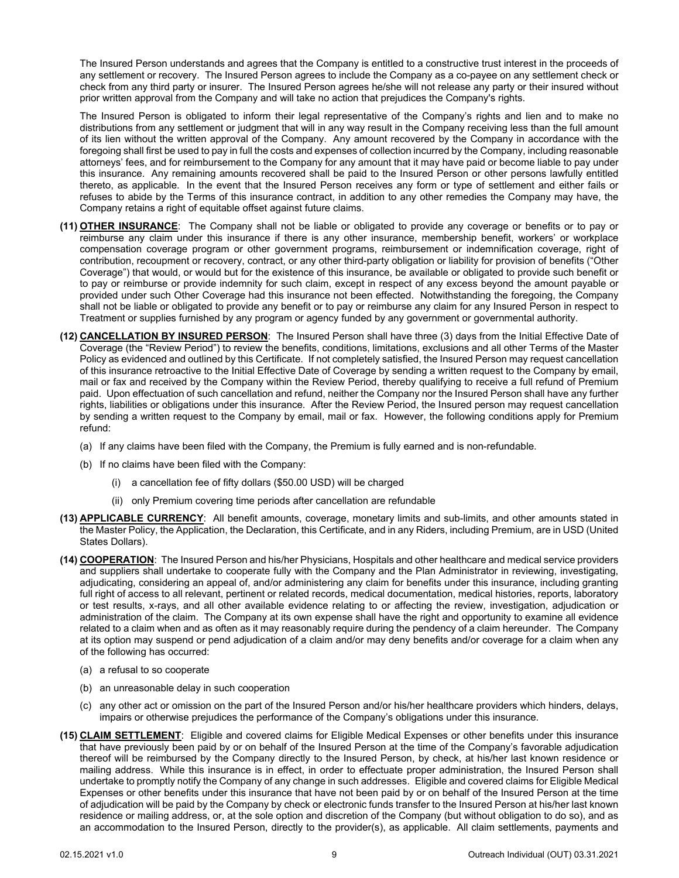The Insured Person understands and agrees that the Company is entitled to a constructive trust interest in the proceeds of any settlement or recovery. The Insured Person agrees to include the Company as a co-payee on any settlement check or check from any third party or insurer. The Insured Person agrees he/she will not release any party or their insured without prior written approval from the Company and will take no action that prejudices the Company's rights.

The Insured Person is obligated to inform their legal representative of the Company's rights and lien and to make no distributions from any settlement or judgment that will in any way result in the Company receiving less than the full amount of its lien without the written approval of the Company. Any amount recovered by the Company in accordance with the foregoing shall first be used to pay in full the costs and expenses of collection incurred by the Company, including reasonable attorneys' fees, and for reimbursement to the Company for any amount that it may have paid or become liable to pay under this insurance. Any remaining amounts recovered shall be paid to the Insured Person or other persons lawfully entitled thereto, as applicable. In the event that the Insured Person receives any form or type of settlement and either fails or refuses to abide by the Terms of this insurance contract, in addition to any other remedies the Company may have, the Company retains a right of equitable offset against future claims.

- **(11) OTHER INSURANCE**: The Company shall not be liable or obligated to provide any coverage or benefits or to pay or reimburse any claim under this insurance if there is any other insurance, membership benefit, workers' or workplace compensation coverage program or other government programs, reimbursement or indemnification coverage, right of contribution, recoupment or recovery, contract, or any other third-party obligation or liability for provision of benefits ("Other Coverage") that would, or would but for the existence of this insurance, be available or obligated to provide such benefit or to pay or reimburse or provide indemnity for such claim, except in respect of any excess beyond the amount payable or provided under such Other Coverage had this insurance not been effected. Notwithstanding the foregoing, the Company shall not be liable or obligated to provide any benefit or to pay or reimburse any claim for any Insured Person in respect to Treatment or supplies furnished by any program or agency funded by any government or governmental authority.
- **(12) CANCELLATION BY INSURED PERSON**: The Insured Person shall have three (3) days from the Initial Effective Date of Coverage (the "Review Period") to review the benefits, conditions, limitations, exclusions and all other Terms of the Master Policy as evidenced and outlined by this Certificate. If not completely satisfied, the Insured Person may request cancellation of this insurance retroactive to the Initial Effective Date of Coverage by sending a written request to the Company by email, mail or fax and received by the Company within the Review Period, thereby qualifying to receive a full refund of Premium paid. Upon effectuation of such cancellation and refund, neither the Company nor the Insured Person shall have any further rights, liabilities or obligations under this insurance. After the Review Period, the Insured person may request cancellation by sending a written request to the Company by email, mail or fax. However, the following conditions apply for Premium refund:
	- (a) If any claims have been filed with the Company, the Premium is fully earned and is non-refundable.
	- (b) If no claims have been filed with the Company:
		- (i) a cancellation fee of fifty dollars (\$50.00 USD) will be charged
		- (ii) only Premium covering time periods after cancellation are refundable
- **(13) APPLICABLE CURRENCY**: All benefit amounts, coverage, monetary limits and sub-limits, and other amounts stated in the Master Policy, the Application, the Declaration, this Certificate, and in any Riders, including Premium, are in USD (United States Dollars).
- **(14) COOPERATION**: The Insured Person and his/her Physicians, Hospitals and other healthcare and medical service providers and suppliers shall undertake to cooperate fully with the Company and the Plan Administrator in reviewing, investigating, adjudicating, considering an appeal of, and/or administering any claim for benefits under this insurance, including granting full right of access to all relevant, pertinent or related records, medical documentation, medical histories, reports, laboratory or test results, x-rays, and all other available evidence relating to or affecting the review, investigation, adjudication or administration of the claim. The Company at its own expense shall have the right and opportunity to examine all evidence related to a claim when and as often as it may reasonably require during the pendency of a claim hereunder. The Company at its option may suspend or pend adjudication of a claim and/or may deny benefits and/or coverage for a claim when any of the following has occurred:
	- (a) a refusal to so cooperate
	- (b) an unreasonable delay in such cooperation
	- (c) any other act or omission on the part of the Insured Person and/or his/her healthcare providers which hinders, delays, impairs or otherwise prejudices the performance of the Company's obligations under this insurance.
- **(15) CLAIM SETTLEMENT**: Eligible and covered claims for Eligible Medical Expenses or other benefits under this insurance that have previously been paid by or on behalf of the Insured Person at the time of the Company's favorable adjudication thereof will be reimbursed by the Company directly to the Insured Person, by check, at his/her last known residence or mailing address. While this insurance is in effect, in order to effectuate proper administration, the Insured Person shall undertake to promptly notify the Company of any change in such addresses. Eligible and covered claims for Eligible Medical Expenses or other benefits under this insurance that have not been paid by or on behalf of the Insured Person at the time of adjudication will be paid by the Company by check or electronic funds transfer to the Insured Person at his/her last known residence or mailing address, or, at the sole option and discretion of the Company (but without obligation to do so), and as an accommodation to the Insured Person, directly to the provider(s), as applicable. All claim settlements, payments and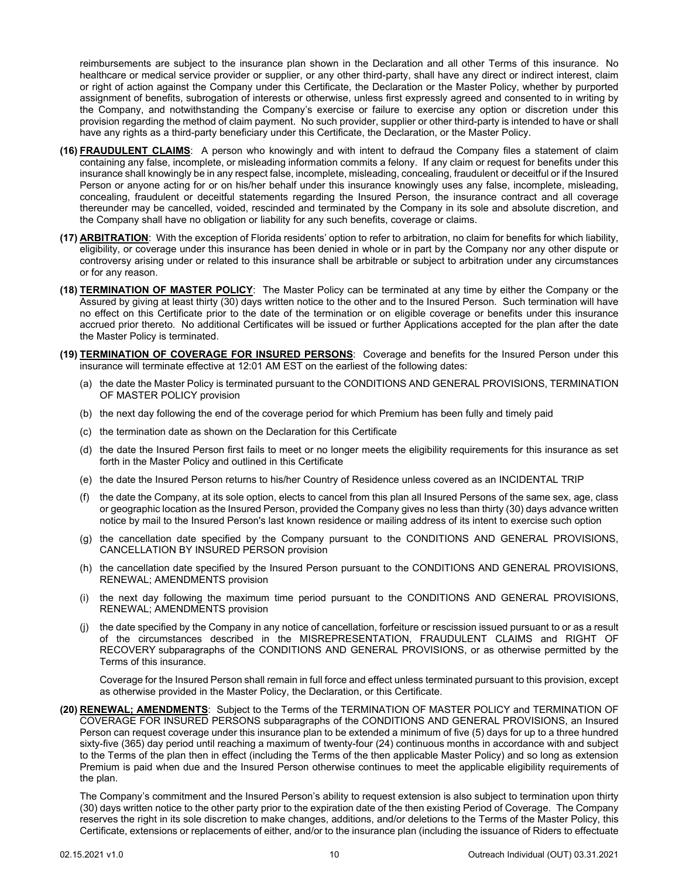reimbursements are subject to the insurance plan shown in the Declaration and all other Terms of this insurance. No healthcare or medical service provider or supplier, or any other third-party, shall have any direct or indirect interest, claim or right of action against the Company under this Certificate, the Declaration or the Master Policy, whether by purported assignment of benefits, subrogation of interests or otherwise, unless first expressly agreed and consented to in writing by the Company, and notwithstanding the Company's exercise or failure to exercise any option or discretion under this provision regarding the method of claim payment. No such provider, supplier or other third-party is intended to have or shall have any rights as a third-party beneficiary under this Certificate, the Declaration, or the Master Policy.

- **(16) FRAUDULENT CLAIMS**: A person who knowingly and with intent to defraud the Company files a statement of claim containing any false, incomplete, or misleading information commits a felony. If any claim or request for benefits under this insurance shall knowingly be in any respect false, incomplete, misleading, concealing, fraudulent or deceitful or if the Insured Person or anyone acting for or on his/her behalf under this insurance knowingly uses any false, incomplete, misleading, concealing, fraudulent or deceitful statements regarding the Insured Person, the insurance contract and all coverage thereunder may be cancelled, voided, rescinded and terminated by the Company in its sole and absolute discretion, and the Company shall have no obligation or liability for any such benefits, coverage or claims.
- **(17) ARBITRATION**: With the exception of Florida residents' option to refer to arbitration, no claim for benefits for which liability, eligibility, or coverage under this insurance has been denied in whole or in part by the Company nor any other dispute or controversy arising under or related to this insurance shall be arbitrable or subject to arbitration under any circumstances or for any reason.
- **(18) TERMINATION OF MASTER POLICY**: The Master Policy can be terminated at any time by either the Company or the Assured by giving at least thirty (30) days written notice to the other and to the Insured Person. Such termination will have no effect on this Certificate prior to the date of the termination or on eligible coverage or benefits under this insurance accrued prior thereto. No additional Certificates will be issued or further Applications accepted for the plan after the date the Master Policy is terminated.
- **(19) TERMINATION OF COVERAGE FOR INSURED PERSONS**: Coverage and benefits for the Insured Person under this insurance will terminate effective at 12:01 AM EST on the earliest of the following dates:
	- (a) the date the Master Policy is terminated pursuant to the CONDITIONS AND GENERAL PROVISIONS, TERMINATION OF MASTER POLICY provision
	- (b) the next day following the end of the coverage period for which Premium has been fully and timely paid
	- (c) the termination date as shown on the Declaration for this Certificate
	- (d) the date the Insured Person first fails to meet or no longer meets the eligibility requirements for this insurance as set forth in the Master Policy and outlined in this Certificate
	- (e) the date the Insured Person returns to his/her Country of Residence unless covered as an INCIDENTAL TRIP
	- (f) the date the Company, at its sole option, elects to cancel from this plan all Insured Persons of the same sex, age, class or geographic location as the Insured Person, provided the Company gives no less than thirty (30) days advance written notice by mail to the Insured Person's last known residence or mailing address of its intent to exercise such option
	- (g) the cancellation date specified by the Company pursuant to the CONDITIONS AND GENERAL PROVISIONS, CANCELLATION BY INSURED PERSON provision
	- (h) the cancellation date specified by the Insured Person pursuant to the CONDITIONS AND GENERAL PROVISIONS, RENEWAL; AMENDMENTS provision
	- (i) the next day following the maximum time period pursuant to the CONDITIONS AND GENERAL PROVISIONS, RENEWAL; AMENDMENTS provision
	- (j) the date specified by the Company in any notice of cancellation, forfeiture or rescission issued pursuant to or as a result of the circumstances described in the MISREPRESENTATION, FRAUDULENT CLAIMS and RIGHT OF RECOVERY subparagraphs of the CONDITIONS AND GENERAL PROVISIONS, or as otherwise permitted by the Terms of this insurance.

Coverage for the Insured Person shall remain in full force and effect unless terminated pursuant to this provision, except as otherwise provided in the Master Policy, the Declaration, or this Certificate.

**(20) RENEWAL; AMENDMENTS**: Subject to the Terms of the TERMINATION OF MASTER POLICY and TERMINATION OF COVERAGE FOR INSURED PERSONS subparagraphs of the CONDITIONS AND GENERAL PROVISIONS, an Insured Person can request coverage under this insurance plan to be extended a minimum of five (5) days for up to a three hundred sixty-five (365) day period until reaching a maximum of twenty-four (24) continuous months in accordance with and subject to the Terms of the plan then in effect (including the Terms of the then applicable Master Policy) and so long as extension Premium is paid when due and the Insured Person otherwise continues to meet the applicable eligibility requirements of the plan.

The Company's commitment and the Insured Person's ability to request extension is also subject to termination upon thirty (30) days written notice to the other party prior to the expiration date of the then existing Period of Coverage. The Company reserves the right in its sole discretion to make changes, additions, and/or deletions to the Terms of the Master Policy, this Certificate, extensions or replacements of either, and/or to the insurance plan (including the issuance of Riders to effectuate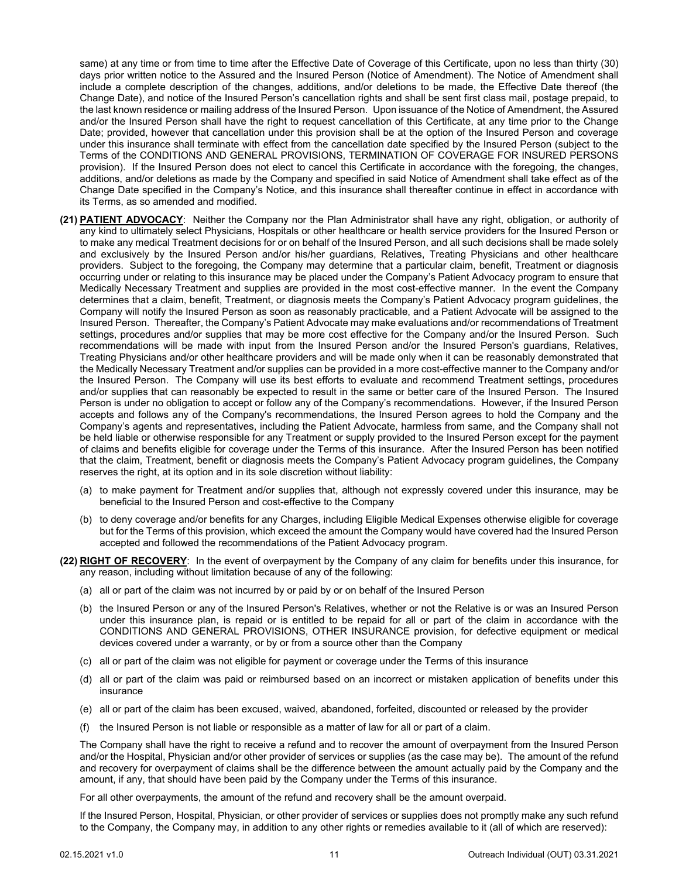same) at any time or from time to time after the Effective Date of Coverage of this Certificate, upon no less than thirty (30) days prior written notice to the Assured and the Insured Person (Notice of Amendment). The Notice of Amendment shall include a complete description of the changes, additions, and/or deletions to be made, the Effective Date thereof (the Change Date), and notice of the Insured Person's cancellation rights and shall be sent first class mail, postage prepaid, to the last known residence or mailing address of the Insured Person. Upon issuance of the Notice of Amendment, the Assured and/or the Insured Person shall have the right to request cancellation of this Certificate, at any time prior to the Change Date; provided, however that cancellation under this provision shall be at the option of the Insured Person and coverage under this insurance shall terminate with effect from the cancellation date specified by the Insured Person (subject to the Terms of the CONDITIONS AND GENERAL PROVISIONS, TERMINATION OF COVERAGE FOR INSURED PERSONS provision). If the Insured Person does not elect to cancel this Certificate in accordance with the foregoing, the changes, additions, and/or deletions as made by the Company and specified in said Notice of Amendment shall take effect as of the Change Date specified in the Company's Notice, and this insurance shall thereafter continue in effect in accordance with its Terms, as so amended and modified.

- **(21) PATIENT ADVOCACY**: Neither the Company nor the Plan Administrator shall have any right, obligation, or authority of any kind to ultimately select Physicians, Hospitals or other healthcare or health service providers for the Insured Person or to make any medical Treatment decisions for or on behalf of the Insured Person, and all such decisions shall be made solely and exclusively by the Insured Person and/or his/her guardians, Relatives, Treating Physicians and other healthcare providers. Subject to the foregoing, the Company may determine that a particular claim, benefit, Treatment or diagnosis occurring under or relating to this insurance may be placed under the Company's Patient Advocacy program to ensure that Medically Necessary Treatment and supplies are provided in the most cost-effective manner. In the event the Company determines that a claim, benefit, Treatment, or diagnosis meets the Company's Patient Advocacy program guidelines, the Company will notify the Insured Person as soon as reasonably practicable, and a Patient Advocate will be assigned to the Insured Person. Thereafter, the Company's Patient Advocate may make evaluations and/or recommendations of Treatment settings, procedures and/or supplies that may be more cost effective for the Company and/or the Insured Person. Such recommendations will be made with input from the Insured Person and/or the Insured Person's guardians, Relatives, Treating Physicians and/or other healthcare providers and will be made only when it can be reasonably demonstrated that the Medically Necessary Treatment and/or supplies can be provided in a more cost-effective manner to the Company and/or the Insured Person. The Company will use its best efforts to evaluate and recommend Treatment settings, procedures and/or supplies that can reasonably be expected to result in the same or better care of the Insured Person. The Insured Person is under no obligation to accept or follow any of the Company's recommendations. However, if the Insured Person accepts and follows any of the Company's recommendations, the Insured Person agrees to hold the Company and the Company's agents and representatives, including the Patient Advocate, harmless from same, and the Company shall not be held liable or otherwise responsible for any Treatment or supply provided to the Insured Person except for the payment of claims and benefits eligible for coverage under the Terms of this insurance. After the Insured Person has been notified that the claim, Treatment, benefit or diagnosis meets the Company's Patient Advocacy program guidelines, the Company reserves the right, at its option and in its sole discretion without liability:
	- (a) to make payment for Treatment and/or supplies that, although not expressly covered under this insurance, may be beneficial to the Insured Person and cost-effective to the Company
	- (b) to deny coverage and/or benefits for any Charges, including Eligible Medical Expenses otherwise eligible for coverage but for the Terms of this provision, which exceed the amount the Company would have covered had the Insured Person accepted and followed the recommendations of the Patient Advocacy program.
- **(22) RIGHT OF RECOVERY**: In the event of overpayment by the Company of any claim for benefits under this insurance, for any reason, including without limitation because of any of the following:
	- (a) all or part of the claim was not incurred by or paid by or on behalf of the Insured Person
	- (b) the Insured Person or any of the Insured Person's Relatives, whether or not the Relative is or was an Insured Person under this insurance plan, is repaid or is entitled to be repaid for all or part of the claim in accordance with the CONDITIONS AND GENERAL PROVISIONS, OTHER INSURANCE provision, for defective equipment or medical devices covered under a warranty, or by or from a source other than the Company
	- (c) all or part of the claim was not eligible for payment or coverage under the Terms of this insurance
	- (d) all or part of the claim was paid or reimbursed based on an incorrect or mistaken application of benefits under this insurance
	- (e) all or part of the claim has been excused, waived, abandoned, forfeited, discounted or released by the provider
	- (f) the Insured Person is not liable or responsible as a matter of law for all or part of a claim.

The Company shall have the right to receive a refund and to recover the amount of overpayment from the Insured Person and/or the Hospital, Physician and/or other provider of services or supplies (as the case may be). The amount of the refund and recovery for overpayment of claims shall be the difference between the amount actually paid by the Company and the amount, if any, that should have been paid by the Company under the Terms of this insurance.

For all other overpayments, the amount of the refund and recovery shall be the amount overpaid.

If the Insured Person, Hospital, Physician, or other provider of services or supplies does not promptly make any such refund to the Company, the Company may, in addition to any other rights or remedies available to it (all of which are reserved):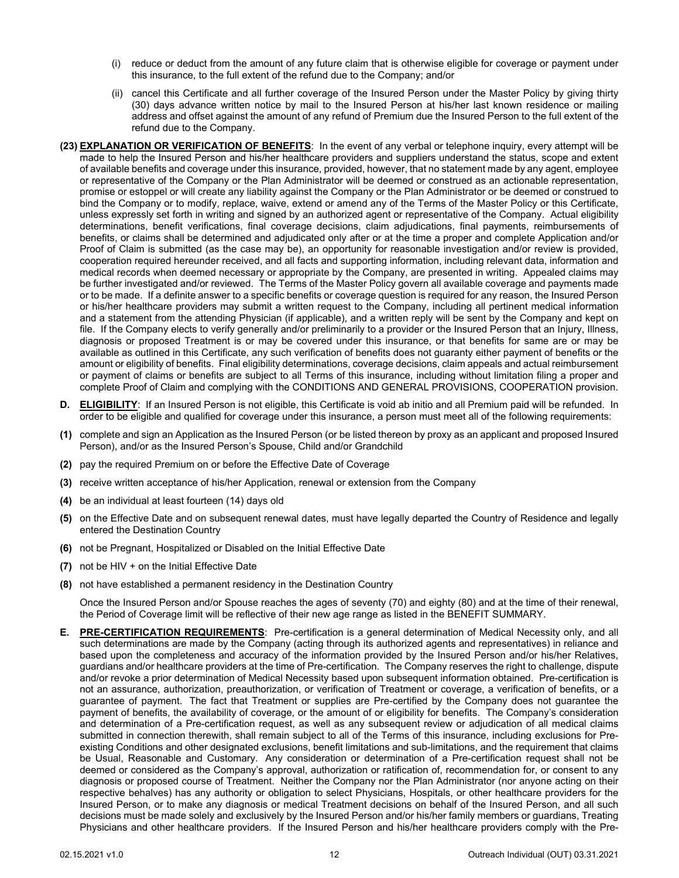- (i) reduce or deduct from the amount of any future claim that is otherwise eligible for coverage or payment under this insurance, to the full extent of the refund due to the Company; and/or
- (ii) cancel this Certificate and all further coverage of the Insured Person under the Master Policy by giving thirty (30) days advance written notice by mail to the Insured Person at his/her last known residence or mailing address and offset against the amount of any refund of Premium due the Insured Person to the full extent of the refund due to the Company.
- **(23) EXPLANATION OR VERIFICATION OF BENEFITS**: In the event of any verbal or telephone inquiry, every attempt will be made to help the Insured Person and his/her healthcare providers and suppliers understand the status, scope and extent of available benefits and coverage under this insurance, provided, however, that no statement made by any agent, employee or representative of the Company or the Plan Administrator will be deemed or construed as an actionable representation, promise or estoppel or will create any liability against the Company or the Plan Administrator or be deemed or construed to bind the Company or to modify, replace, waive, extend or amend any of the Terms of the Master Policy or this Certificate, unless expressly set forth in writing and signed by an authorized agent or representative of the Company. Actual eligibility determinations, benefit verifications, final coverage decisions, claim adjudications, final payments, reimbursements of benefits, or claims shall be determined and adjudicated only after or at the time a proper and complete Application and/or Proof of Claim is submitted (as the case may be), an opportunity for reasonable investigation and/or review is provided, cooperation required hereunder received, and all facts and supporting information, including relevant data, information and medical records when deemed necessary or appropriate by the Company, are presented in writing. Appealed claims may be further investigated and/or reviewed. The Terms of the Master Policy govern all available coverage and payments made or to be made. If a definite answer to a specific benefits or coverage question is required for any reason, the Insured Person or his/her healthcare providers may submit a written request to the Company, including all pertinent medical information and a statement from the attending Physician (if applicable), and a written reply will be sent by the Company and kept on file. If the Company elects to verify generally and/or preliminarily to a provider or the Insured Person that an Injury, Illness, diagnosis or proposed Treatment is or may be covered under this insurance, or that benefits for same are or may be available as outlined in this Certificate, any such verification of benefits does not guaranty either payment of benefits or the amount or eligibility of benefits. Final eligibility determinations, coverage decisions, claim appeals and actual reimbursement or payment of claims or benefits are subject to all Terms of this insurance, including without limitation filing a proper and complete Proof of Claim and complying with the CONDITIONS AND GENERAL PROVISIONS, COOPERATION provision.
- <span id="page-13-0"></span>**D. ELIGIBILITY**: If an Insured Person is not eligible, this Certificate is void ab initio and all Premium paid will be refunded. In order to be eligible and qualified for coverage under this insurance, a person must meet all of the following requirements:
- **(1)** complete and sign an Application as the Insured Person (or be listed thereon by proxy as an applicant and proposed Insured Person), and/or as the Insured Person's Spouse, Child and/or Grandchild
- **(2)** pay the required Premium on or before the Effective Date of Coverage
- **(3)** receive written acceptance of his/her Application, renewal or extension from the Company
- **(4)** be an individual at least fourteen (14) days old
- **(5)** on the Effective Date and on subsequent renewal dates, must have legally departed the Country of Residence and legally entered the Destination Country
- **(6)** not be Pregnant, Hospitalized or Disabled on the Initial Effective Date
- **(7)** not be HIV + on the Initial Effective Date
- **(8)** not have established a permanent residency in the Destination Country

Once the Insured Person and/or Spouse reaches the ages of seventy (70) and eighty (80) and at the time of their renewal, the Period of Coverage limit will be reflective of their new age range as listed in the BENEFIT SUMMARY.

<span id="page-13-1"></span>**E. PRE-CERTIFICATION REQUIREMENTS**: Pre-certification is a general determination of Medical Necessity only, and all such determinations are made by the Company (acting through its authorized agents and representatives) in reliance and based upon the completeness and accuracy of the information provided by the Insured Person and/or his/her Relatives, guardians and/or healthcare providers at the time of Pre-certification. The Company reserves the right to challenge, dispute and/or revoke a prior determination of Medical Necessity based upon subsequent information obtained. Pre-certification is not an assurance, authorization, preauthorization, or verification of Treatment or coverage, a verification of benefits, or a guarantee of payment. The fact that Treatment or supplies are Pre-certified by the Company does not guarantee the payment of benefits, the availability of coverage, or the amount of or eligibility for benefits. The Company's consideration and determination of a Pre-certification request, as well as any subsequent review or adjudication of all medical claims submitted in connection therewith, shall remain subject to all of the Terms of this insurance, including exclusions for Preexisting Conditions and other designated exclusions, benefit limitations and sub-limitations, and the requirement that claims be Usual, Reasonable and Customary. Any consideration or determination of a Pre-certification request shall not be deemed or considered as the Company's approval, authorization or ratification of, recommendation for, or consent to any diagnosis or proposed course of Treatment. Neither the Company nor the Plan Administrator (nor anyone acting on their respective behalves) has any authority or obligation to select Physicians, Hospitals, or other healthcare providers for the Insured Person, or to make any diagnosis or medical Treatment decisions on behalf of the Insured Person, and all such decisions must be made solely and exclusively by the Insured Person and/or his/her family members or guardians, Treating Physicians and other healthcare providers. If the Insured Person and his/her healthcare providers comply with the Pre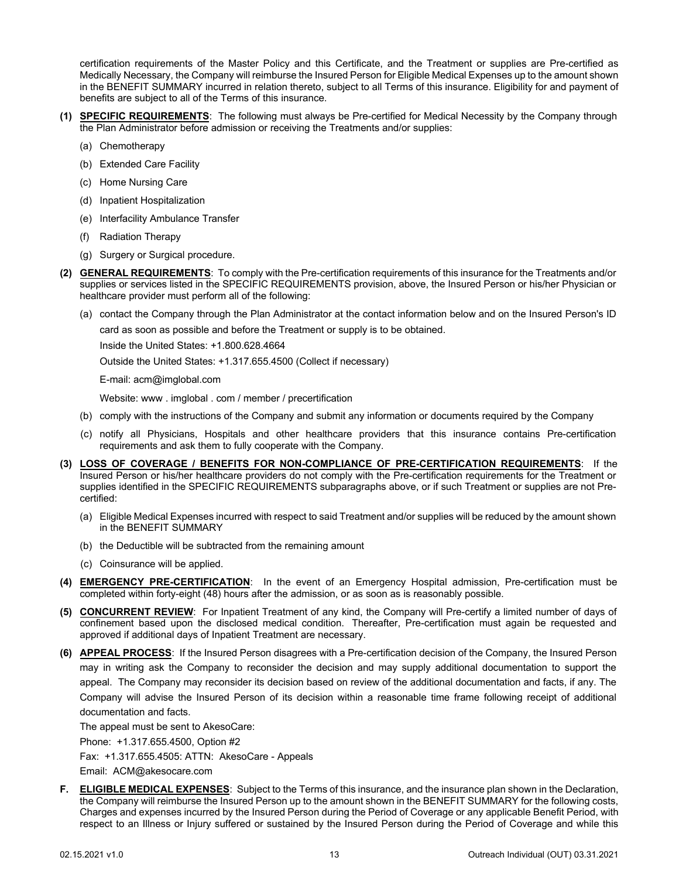certification requirements of the Master Policy and this Certificate, and the Treatment or supplies are Pre-certified as Medically Necessary, the Company will reimburse the Insured Person for Eligible Medical Expenses up to the amount shown in the BENEFIT SUMMARY incurred in relation thereto, subject to all Terms of this insurance. Eligibility for and payment of benefits are subject to all of the Terms of this insurance.

- **(1) SPECIFIC REQUIREMENTS**: The following must always be Pre-certified for Medical Necessity by the Company through the Plan Administrator before admission or receiving the Treatments and/or supplies:
	- (a) Chemotherapy
	- (b) Extended Care Facility
	- (c) Home Nursing Care
	- (d) Inpatient Hospitalization
	- (e) Interfacility Ambulance Transfer
	- (f) Radiation Therapy
	- (g) Surgery or Surgical procedure.
- **(2) GENERAL REQUIREMENTS**: To comply with the Pre-certification requirements of this insurance for the Treatments and/or supplies or services listed in the SPECIFIC REQUIREMENTS provision, above, the Insured Person or his/her Physician or healthcare provider must perform all of the following:
	- (a) contact the Company through the Plan Administrator at the contact information below and on the Insured Person's ID

card as soon as possible and before the Treatment or supply is to be obtained.

Inside the United States: +1.800.628.4664

Outside the United States: +1.317.655.4500 (Collect if necessary)

E-mail: acm@imglobal.com

Website: www . imglobal . com / member / precertification

- (b) comply with the instructions of the Company and submit any information or documents required by the Company
- (c) notify all Physicians, Hospitals and other healthcare providers that this insurance contains Pre-certification requirements and ask them to fully cooperate with the Company.
- **(3) LOSS OF COVERAGE / BENEFITS FOR NON-COMPLIANCE OF PRE-CERTIFICATION REQUIREMENTS**: If the Insured Person or his/her healthcare providers do not comply with the Pre-certification requirements for the Treatment or supplies identified in the SPECIFIC REQUIREMENTS subparagraphs above, or if such Treatment or supplies are not Precertified:
	- (a) Eligible Medical Expenses incurred with respect to said Treatment and/or supplies will be reduced by the amount shown in the BENEFIT SUMMARY
	- (b) the Deductible will be subtracted from the remaining amount
	- (c) Coinsurance will be applied.
- **(4) EMERGENCY PRE-CERTIFICATION**: In the event of an Emergency Hospital admission, Pre-certification must be completed within forty-eight (48) hours after the admission, or as soon as is reasonably possible.
- **(5) CONCURRENT REVIEW**: For Inpatient Treatment of any kind, the Company will Pre-certify a limited number of days of confinement based upon the disclosed medical condition. Thereafter, Pre-certification must again be requested and approved if additional days of Inpatient Treatment are necessary.
- **(6) APPEAL PROCESS**: If the Insured Person disagrees with a Pre-certification decision of the Company, the Insured Person may in writing ask the Company to reconsider the decision and may supply additional documentation to support the appeal. The Company may reconsider its decision based on review of the additional documentation and facts, if any. The Company will advise the Insured Person of its decision within a reasonable time frame following receipt of additional documentation and facts.

The appeal must be sent to AkesoCare:

Phone: +1.317.655.4500, Option #2

Fax: +1.317.655.4505: ATTN: AkesoCare - Appeals

Email: ACM@akesocare.com

<span id="page-14-0"></span>**F. ELIGIBLE MEDICAL EXPENSES**: Subject to the Terms of this insurance, and the insurance plan shown in the Declaration, the Company will reimburse the Insured Person up to the amount shown in the BENEFIT SUMMARY for the following costs, Charges and expenses incurred by the Insured Person during the Period of Coverage or any applicable Benefit Period, with respect to an Illness or Injury suffered or sustained by the Insured Person during the Period of Coverage and while this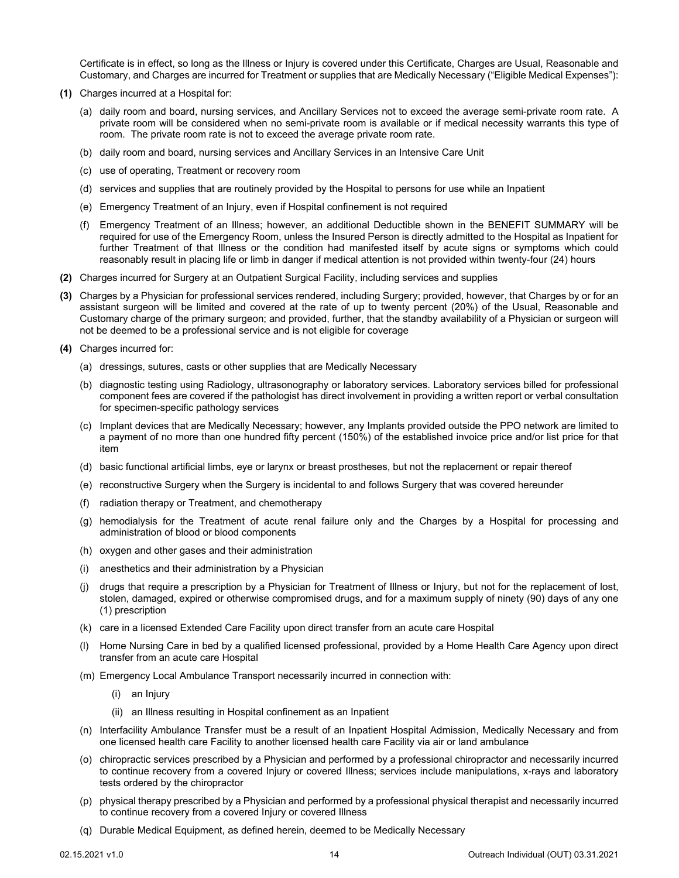Certificate is in effect, so long as the Illness or Injury is covered under this Certificate, Charges are Usual, Reasonable and Customary, and Charges are incurred for Treatment or supplies that are Medically Necessary ("Eligible Medical Expenses"):

- **(1)** Charges incurred at a Hospital for:
	- (a) daily room and board, nursing services, and Ancillary Services not to exceed the average semi-private room rate. A private room will be considered when no semi-private room is available or if medical necessity warrants this type of room. The private room rate is not to exceed the average private room rate.
	- (b) daily room and board, nursing services and Ancillary Services in an Intensive Care Unit
	- (c) use of operating, Treatment or recovery room
	- (d) services and supplies that are routinely provided by the Hospital to persons for use while an Inpatient
	- (e) Emergency Treatment of an Injury, even if Hospital confinement is not required
	- (f) Emergency Treatment of an Illness; however, an additional Deductible shown in the BENEFIT SUMMARY will be required for use of the Emergency Room, unless the Insured Person is directly admitted to the Hospital as Inpatient for further Treatment of that Illness or the condition had manifested itself by acute signs or symptoms which could reasonably result in placing life or limb in danger if medical attention is not provided within twenty-four (24) hours
- **(2)** Charges incurred for Surgery at an Outpatient Surgical Facility, including services and supplies
- **(3)** Charges by a Physician for professional services rendered, including Surgery; provided, however, that Charges by or for an assistant surgeon will be limited and covered at the rate of up to twenty percent (20%) of the Usual, Reasonable and Customary charge of the primary surgeon; and provided, further, that the standby availability of a Physician or surgeon will not be deemed to be a professional service and is not eligible for coverage
- **(4)** Charges incurred for:
	- (a) dressings, sutures, casts or other supplies that are Medically Necessary
	- (b) diagnostic testing using Radiology, ultrasonography or laboratory services. Laboratory services billed for professional component fees are covered if the pathologist has direct involvement in providing a written report or verbal consultation for specimen-specific pathology services
	- (c) Implant devices that are Medically Necessary; however, any Implants provided outside the PPO network are limited to a payment of no more than one hundred fifty percent (150%) of the established invoice price and/or list price for that item
	- (d) basic functional artificial limbs, eye or larynx or breast prostheses, but not the replacement or repair thereof
	- (e) reconstructive Surgery when the Surgery is incidental to and follows Surgery that was covered hereunder
	- (f) radiation therapy or Treatment, and chemotherapy
	- (g) hemodialysis for the Treatment of acute renal failure only and the Charges by a Hospital for processing and administration of blood or blood components
	- (h) oxygen and other gases and their administration
	- (i) anesthetics and their administration by a Physician
	- (j) drugs that require a prescription by a Physician for Treatment of Illness or Injury, but not for the replacement of lost, stolen, damaged, expired or otherwise compromised drugs, and for a maximum supply of ninety (90) days of any one (1) prescription
	- (k) care in a licensed Extended Care Facility upon direct transfer from an acute care Hospital
	- (l) Home Nursing Care in bed by a qualified licensed professional, provided by a Home Health Care Agency upon direct transfer from an acute care Hospital
	- (m) Emergency Local Ambulance Transport necessarily incurred in connection with:
		- (i) an Injury
		- (ii) an Illness resulting in Hospital confinement as an Inpatient
	- (n) Interfacility Ambulance Transfer must be a result of an Inpatient Hospital Admission, Medically Necessary and from one licensed health care Facility to another licensed health care Facility via air or land ambulance
	- (o) chiropractic services prescribed by a Physician and performed by a professional chiropractor and necessarily incurred to continue recovery from a covered Injury or covered Illness; services include manipulations, x-rays and laboratory tests ordered by the chiropractor
	- (p) physical therapy prescribed by a Physician and performed by a professional physical therapist and necessarily incurred to continue recovery from a covered Injury or covered Illness
	- (q) Durable Medical Equipment, as defined herein, deemed to be Medically Necessary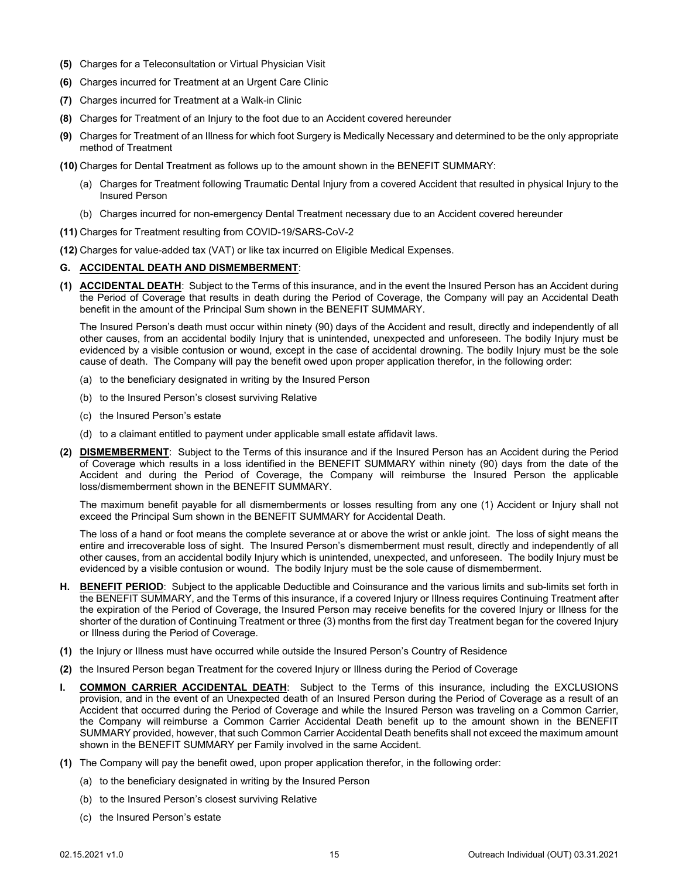- **(5)** Charges for a Teleconsultation or Virtual Physician Visit
- **(6)** Charges incurred for Treatment at an Urgent Care Clinic
- **(7)** Charges incurred for Treatment at a Walk-in Clinic
- **(8)** Charges for Treatment of an Injury to the foot due to an Accident covered hereunder
- **(9)** Charges for Treatment of an Illness for which foot Surgery is Medically Necessary and determined to be the only appropriate method of Treatment
- **(10)** Charges for Dental Treatment as follows up to the amount shown in the BENEFIT SUMMARY:
	- (a) Charges for Treatment following Traumatic Dental Injury from a covered Accident that resulted in physical Injury to the Insured Person
	- (b) Charges incurred for non-emergency Dental Treatment necessary due to an Accident covered hereunder
- **(11)** Charges for Treatment resulting from COVID-19/SARS-CoV-2
- **(12)** Charges for value-added tax (VAT) or like tax incurred on Eligible Medical Expenses.

#### <span id="page-16-0"></span>**G. ACCIDENTAL DEATH AND DISMEMBERMENT**:

**(1) ACCIDENTAL DEATH**: Subject to the Terms of this insurance, and in the event the Insured Person has an Accident during the Period of Coverage that results in death during the Period of Coverage, the Company will pay an Accidental Death benefit in the amount of the Principal Sum shown in the BENEFIT SUMMARY.

The Insured Person's death must occur within ninety (90) days of the Accident and result, directly and independently of all other causes, from an accidental bodily Injury that is unintended, unexpected and unforeseen. The bodily Injury must be evidenced by a visible contusion or wound, except in the case of accidental drowning. The bodily Injury must be the sole cause of death. The Company will pay the benefit owed upon proper application therefor, in the following order:

- (a) to the beneficiary designated in writing by the Insured Person
- (b) to the Insured Person's closest surviving Relative
- (c) the Insured Person's estate
- (d) to a claimant entitled to payment under applicable small estate affidavit laws.
- **(2) DISMEMBERMENT**: Subject to the Terms of this insurance and if the Insured Person has an Accident during the Period of Coverage which results in a loss identified in the BENEFIT SUMMARY within ninety (90) days from the date of the Accident and during the Period of Coverage, the Company will reimburse the Insured Person the applicable loss/dismemberment shown in the BENEFIT SUMMARY.

The maximum benefit payable for all dismemberments or losses resulting from any one (1) Accident or Injury shall not exceed the Principal Sum shown in the BENEFIT SUMMARY for Accidental Death.

The loss of a hand or foot means the complete severance at or above the wrist or ankle joint. The loss of sight means the entire and irrecoverable loss of sight. The Insured Person's dismemberment must result, directly and independently of all other causes, from an accidental bodily Injury which is unintended, unexpected, and unforeseen. The bodily Injury must be evidenced by a visible contusion or wound. The bodily Injury must be the sole cause of dismemberment.

- <span id="page-16-1"></span>**H. BENEFIT PERIOD**: Subject to the applicable Deductible and Coinsurance and the various limits and sub-limits set forth in the BENEFIT SUMMARY, and the Terms of this insurance, if a covered Injury or Illness requires Continuing Treatment after the expiration of the Period of Coverage, the Insured Person may receive benefits for the covered Injury or Illness for the shorter of the duration of Continuing Treatment or three (3) months from the first day Treatment began for the covered Injury or Illness during the Period of Coverage.
- **(1)** the Injury or Illness must have occurred while outside the Insured Person's Country of Residence
- **(2)** the Insured Person began Treatment for the covered Injury or Illness during the Period of Coverage
- <span id="page-16-2"></span>**COMMON CARRIER ACCIDENTAL DEATH:** Subject to the Terms of this insurance, including the EXCLUSIONS provision, and in the event of an Unexpected death of an Insured Person during the Period of Coverage as a result of an Accident that occurred during the Period of Coverage and while the Insured Person was traveling on a Common Carrier, the Company will reimburse a Common Carrier Accidental Death benefit up to the amount shown in the BENEFIT SUMMARY provided, however, that such Common Carrier Accidental Death benefits shall not exceed the maximum amount shown in the BENEFIT SUMMARY per Family involved in the same Accident.
- **(1)** The Company will pay the benefit owed, upon proper application therefor, in the following order:
	- (a) to the beneficiary designated in writing by the Insured Person
	- (b) to the Insured Person's closest surviving Relative
	- (c) the Insured Person's estate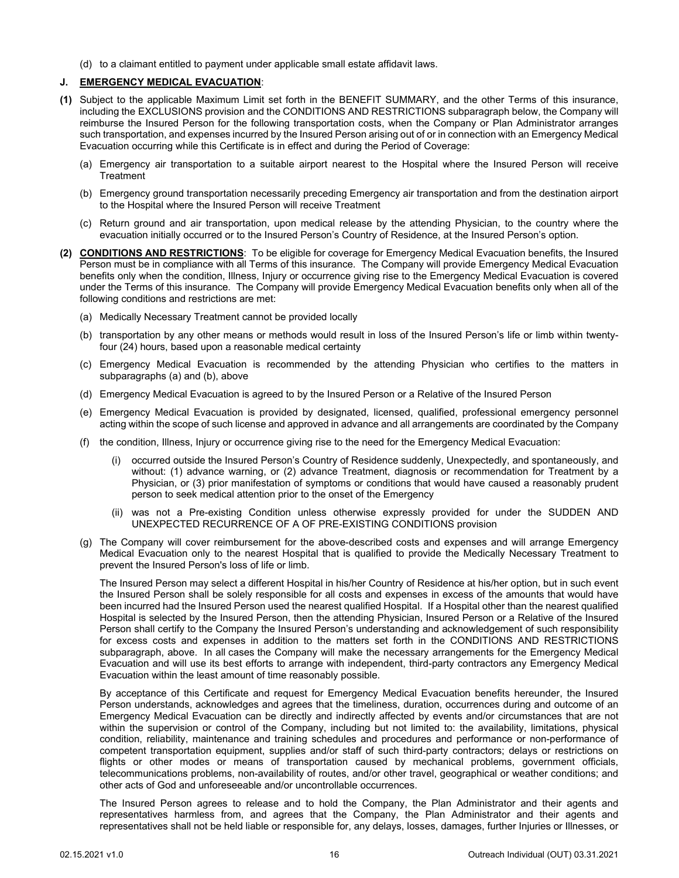(d) to a claimant entitled to payment under applicable small estate affidavit laws.

#### <span id="page-17-0"></span>**J. EMERGENCY MEDICAL EVACUATION**:

- **(1)** Subject to the applicable Maximum Limit set forth in the BENEFIT SUMMARY, and the other Terms of this insurance, including the EXCLUSIONS provision and the CONDITIONS AND RESTRICTIONS subparagraph below, the Company will reimburse the Insured Person for the following transportation costs, when the Company or Plan Administrator arranges such transportation, and expenses incurred by the Insured Person arising out of or in connection with an Emergency Medical Evacuation occurring while this Certificate is in effect and during the Period of Coverage:
	- (a) Emergency air transportation to a suitable airport nearest to the Hospital where the Insured Person will receive **Treatment**
	- (b) Emergency ground transportation necessarily preceding Emergency air transportation and from the destination airport to the Hospital where the Insured Person will receive Treatment
	- (c) Return ground and air transportation, upon medical release by the attending Physician, to the country where the evacuation initially occurred or to the Insured Person's Country of Residence, at the Insured Person's option.
- **(2) CONDITIONS AND RESTRICTIONS**: To be eligible for coverage for Emergency Medical Evacuation benefits, the Insured Person must be in compliance with all Terms of this insurance. The Company will provide Emergency Medical Evacuation benefits only when the condition, Illness, Injury or occurrence giving rise to the Emergency Medical Evacuation is covered under the Terms of this insurance. The Company will provide Emergency Medical Evacuation benefits only when all of the following conditions and restrictions are met:
	- (a) Medically Necessary Treatment cannot be provided locally
	- (b) transportation by any other means or methods would result in loss of the Insured Person's life or limb within twentyfour (24) hours, based upon a reasonable medical certainty
	- (c) Emergency Medical Evacuation is recommended by the attending Physician who certifies to the matters in subparagraphs (a) and (b), above
	- (d) Emergency Medical Evacuation is agreed to by the Insured Person or a Relative of the Insured Person
	- (e) Emergency Medical Evacuation is provided by designated, licensed, qualified, professional emergency personnel acting within the scope of such license and approved in advance and all arrangements are coordinated by the Company
	- (f) the condition, Illness, Injury or occurrence giving rise to the need for the Emergency Medical Evacuation:
		- (i) occurred outside the Insured Person's Country of Residence suddenly, Unexpectedly, and spontaneously, and without: (1) advance warning, or (2) advance Treatment, diagnosis or recommendation for Treatment by a Physician, or (3) prior manifestation of symptoms or conditions that would have caused a reasonably prudent person to seek medical attention prior to the onset of the Emergency
		- (ii) was not a Pre-existing Condition unless otherwise expressly provided for under the SUDDEN AND UNEXPECTED RECURRENCE OF A OF PRE-EXISTING CONDITIONS provision
	- (g) The Company will cover reimbursement for the above-described costs and expenses and will arrange Emergency Medical Evacuation only to the nearest Hospital that is qualified to provide the Medically Necessary Treatment to prevent the Insured Person's loss of life or limb.

The Insured Person may select a different Hospital in his/her Country of Residence at his/her option, but in such event the Insured Person shall be solely responsible for all costs and expenses in excess of the amounts that would have been incurred had the Insured Person used the nearest qualified Hospital. If a Hospital other than the nearest qualified Hospital is selected by the Insured Person, then the attending Physician, Insured Person or a Relative of the Insured Person shall certify to the Company the Insured Person's understanding and acknowledgement of such responsibility for excess costs and expenses in addition to the matters set forth in the CONDITIONS AND RESTRICTIONS subparagraph, above. In all cases the Company will make the necessary arrangements for the Emergency Medical Evacuation and will use its best efforts to arrange with independent, third-party contractors any Emergency Medical Evacuation within the least amount of time reasonably possible.

By acceptance of this Certificate and request for Emergency Medical Evacuation benefits hereunder, the Insured Person understands, acknowledges and agrees that the timeliness, duration, occurrences during and outcome of an Emergency Medical Evacuation can be directly and indirectly affected by events and/or circumstances that are not within the supervision or control of the Company, including but not limited to: the availability, limitations, physical condition, reliability, maintenance and training schedules and procedures and performance or non-performance of competent transportation equipment, supplies and/or staff of such third-party contractors; delays or restrictions on flights or other modes or means of transportation caused by mechanical problems, government officials, telecommunications problems, non-availability of routes, and/or other travel, geographical or weather conditions; and other acts of God and unforeseeable and/or uncontrollable occurrences.

The Insured Person agrees to release and to hold the Company, the Plan Administrator and their agents and representatives harmless from, and agrees that the Company, the Plan Administrator and their agents and representatives shall not be held liable or responsible for, any delays, losses, damages, further Injuries or Illnesses, or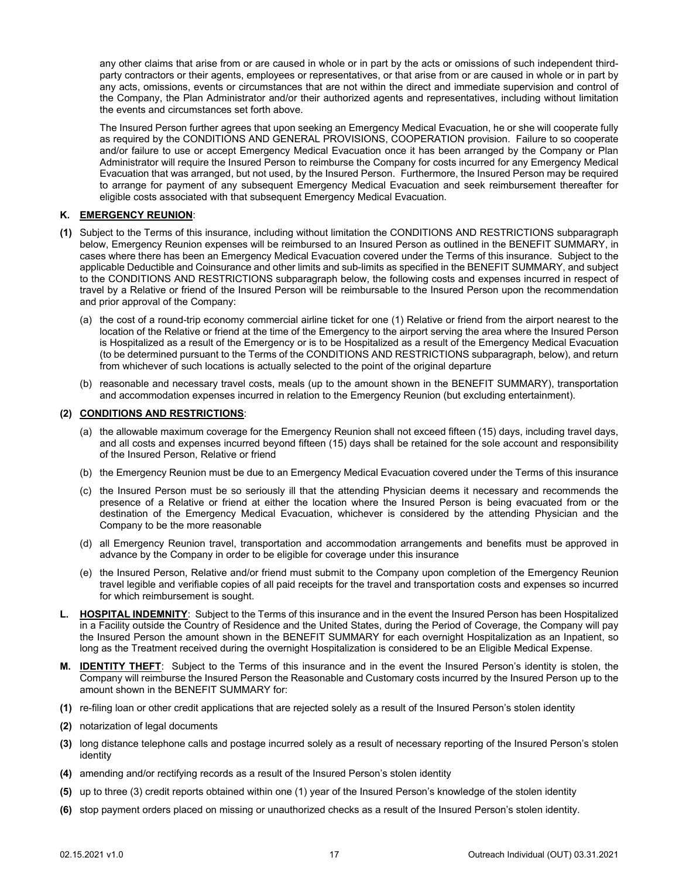any other claims that arise from or are caused in whole or in part by the acts or omissions of such independent thirdparty contractors or their agents, employees or representatives, or that arise from or are caused in whole or in part by any acts, omissions, events or circumstances that are not within the direct and immediate supervision and control of the Company, the Plan Administrator and/or their authorized agents and representatives, including without limitation the events and circumstances set forth above.

The Insured Person further agrees that upon seeking an Emergency Medical Evacuation, he or she will cooperate fully as required by the CONDITIONS AND GENERAL PROVISIONS, COOPERATION provision. Failure to so cooperate and/or failure to use or accept Emergency Medical Evacuation once it has been arranged by the Company or Plan Administrator will require the Insured Person to reimburse the Company for costs incurred for any Emergency Medical Evacuation that was arranged, but not used, by the Insured Person. Furthermore, the Insured Person may be required to arrange for payment of any subsequent Emergency Medical Evacuation and seek reimbursement thereafter for eligible costs associated with that subsequent Emergency Medical Evacuation.

#### <span id="page-18-0"></span>**K. EMERGENCY REUNION**:

- **(1)** Subject to the Terms of this insurance, including without limitation the CONDITIONS AND RESTRICTIONS subparagraph below, Emergency Reunion expenses will be reimbursed to an Insured Person as outlined in the BENEFIT SUMMARY, in cases where there has been an Emergency Medical Evacuation covered under the Terms of this insurance. Subject to the applicable Deductible and Coinsurance and other limits and sub-limits as specified in the BENEFIT SUMMARY, and subject to the CONDITIONS AND RESTRICTIONS subparagraph below, the following costs and expenses incurred in respect of travel by a Relative or friend of the Insured Person will be reimbursable to the Insured Person upon the recommendation and prior approval of the Company:
	- (a) the cost of a round-trip economy commercial airline ticket for one (1) Relative or friend from the airport nearest to the location of the Relative or friend at the time of the Emergency to the airport serving the area where the Insured Person is Hospitalized as a result of the Emergency or is to be Hospitalized as a result of the Emergency Medical Evacuation (to be determined pursuant to the Terms of the CONDITIONS AND RESTRICTIONS subparagraph, below), and return from whichever of such locations is actually selected to the point of the original departure
	- (b) reasonable and necessary travel costs, meals (up to the amount shown in the BENEFIT SUMMARY), transportation and accommodation expenses incurred in relation to the Emergency Reunion (but excluding entertainment).

#### **(2) CONDITIONS AND RESTRICTIONS**:

- (a) the allowable maximum coverage for the Emergency Reunion shall not exceed fifteen (15) days, including travel days, and all costs and expenses incurred beyond fifteen (15) days shall be retained for the sole account and responsibility of the Insured Person, Relative or friend
- (b) the Emergency Reunion must be due to an Emergency Medical Evacuation covered under the Terms of this insurance
- (c) the Insured Person must be so seriously ill that the attending Physician deems it necessary and recommends the presence of a Relative or friend at either the location where the Insured Person is being evacuated from or the destination of the Emergency Medical Evacuation, whichever is considered by the attending Physician and the Company to be the more reasonable
- (d) all Emergency Reunion travel, transportation and accommodation arrangements and benefits must be approved in advance by the Company in order to be eligible for coverage under this insurance
- (e) the Insured Person, Relative and/or friend must submit to the Company upon completion of the Emergency Reunion travel legible and verifiable copies of all paid receipts for the travel and transportation costs and expenses so incurred for which reimbursement is sought.
- <span id="page-18-1"></span>**L. HOSPITAL INDEMNITY**: Subject to the Terms of this insurance and in the event the Insured Person has been Hospitalized in a Facility outside the Country of Residence and the United States, during the Period of Coverage, the Company will pay the Insured Person the amount shown in the BENEFIT SUMMARY for each overnight Hospitalization as an Inpatient, so long as the Treatment received during the overnight Hospitalization is considered to be an Eligible Medical Expense.
- <span id="page-18-2"></span>**M. IDENTITY THEFT**: Subject to the Terms of this insurance and in the event the Insured Person's identity is stolen, the Company will reimburse the Insured Person the Reasonable and Customary costs incurred by the Insured Person up to the amount shown in the BENEFIT SUMMARY for:
- **(1)** re-filing loan or other credit applications that are rejected solely as a result of the Insured Person's stolen identity
- **(2)** notarization of legal documents
- **(3)** long distance telephone calls and postage incurred solely as a result of necessary reporting of the Insured Person's stolen identity
- **(4)** amending and/or rectifying records as a result of the Insured Person's stolen identity
- **(5)** up to three (3) credit reports obtained within one (1) year of the Insured Person's knowledge of the stolen identity
- **(6)** stop payment orders placed on missing or unauthorized checks as a result of the Insured Person's stolen identity.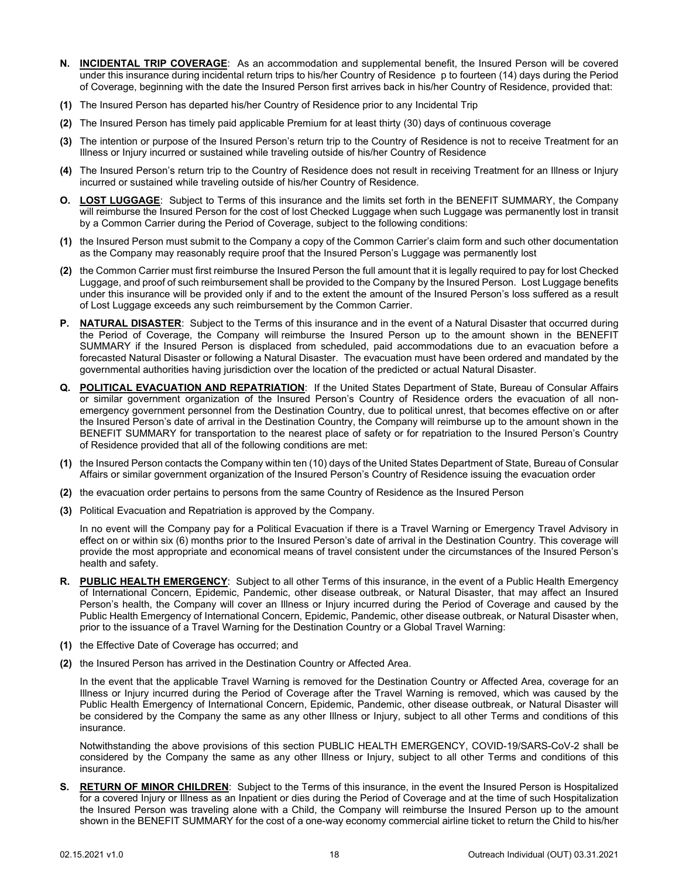- <span id="page-19-0"></span>**N. INCIDENTAL TRIP COVERAGE**: As an accommodation and supplemental benefit, the Insured Person will be covered under this insurance during incidental return trips to his/her Country of Residence p to fourteen (14) days during the Period of Coverage, beginning with the date the Insured Person first arrives back in his/her Country of Residence, provided that:
- **(1)** The Insured Person has departed his/her Country of Residence prior to any Incidental Trip
- **(2)** The Insured Person has timely paid applicable Premium for at least thirty (30) days of continuous coverage
- **(3)** The intention or purpose of the Insured Person's return trip to the Country of Residence is not to receive Treatment for an Illness or Injury incurred or sustained while traveling outside of his/her Country of Residence
- **(4)** The Insured Person's return trip to the Country of Residence does not result in receiving Treatment for an Illness or Injury incurred or sustained while traveling outside of his/her Country of Residence.
- <span id="page-19-1"></span>**O. LOST LUGGAGE**: Subject to Terms of this insurance and the limits set forth in the BENEFIT SUMMARY, the Company will reimburse the Insured Person for the cost of lost Checked Luggage when such Luggage was permanently lost in transit by a Common Carrier during the Period of Coverage, subject to the following conditions:
- **(1)** the Insured Person must submit to the Company a copy of the Common Carrier's claim form and such other documentation as the Company may reasonably require proof that the Insured Person's Luggage was permanently lost
- **(2)** the Common Carrier must first reimburse the Insured Person the full amount that it is legally required to pay for lost Checked Luggage, and proof of such reimbursement shall be provided to the Company by the Insured Person. Lost Luggage benefits under this insurance will be provided only if and to the extent the amount of the Insured Person's loss suffered as a result of Lost Luggage exceeds any such reimbursement by the Common Carrier.
- <span id="page-19-2"></span>**P.** NATURAL DISASTER: Subject to the Terms of this insurance and in the event of a Natural Disaster that occurred during the Period of Coverage, the Company will reimburse the Insured Person up to the amount shown in the BENEFIT SUMMARY if the Insured Person is displaced from scheduled, paid accommodations due to an evacuation before a forecasted Natural Disaster or following a Natural Disaster. The evacuation must have been ordered and mandated by the governmental authorities having jurisdiction over the location of the predicted or actual Natural Disaster.
- <span id="page-19-3"></span>**Q. POLITICAL EVACUATION AND REPATRIATION**: If the United States Department of State, Bureau of Consular Affairs or similar government organization of the Insured Person's Country of Residence orders the evacuation of all nonemergency government personnel from the Destination Country, due to political unrest, that becomes effective on or after the Insured Person's date of arrival in the Destination Country, the Company will reimburse up to the amount shown in the BENEFIT SUMMARY for transportation to the nearest place of safety or for repatriation to the Insured Person's Country of Residence provided that all of the following conditions are met:
- **(1)** the Insured Person contacts the Company within ten (10) days of the United States Department of State, Bureau of Consular Affairs or similar government organization of the Insured Person's Country of Residence issuing the evacuation order
- **(2)** the evacuation order pertains to persons from the same Country of Residence as the Insured Person
- **(3)** Political Evacuation and Repatriation is approved by the Company.

In no event will the Company pay for a Political Evacuation if there is a Travel Warning or Emergency Travel Advisory in effect on or within six (6) months prior to the Insured Person's date of arrival in the Destination Country. This coverage will provide the most appropriate and economical means of travel consistent under the circumstances of the Insured Person's health and safety.

- <span id="page-19-4"></span>**R. PUBLIC HEALTH EMERGENCY**: Subject to all other Terms of this insurance, in the event of a Public Health Emergency of International Concern, Epidemic, Pandemic, other disease outbreak, or Natural Disaster, that may affect an Insured Person's health, the Company will cover an Illness or Injury incurred during the Period of Coverage and caused by the Public Health Emergency of International Concern, Epidemic, Pandemic, other disease outbreak, or Natural Disaster when, prior to the issuance of a Travel Warning for the Destination Country or a Global Travel Warning:
- **(1)** the Effective Date of Coverage has occurred; and
- **(2)** the Insured Person has arrived in the Destination Country or Affected Area.

In the event that the applicable Travel Warning is removed for the Destination Country or Affected Area, coverage for an Illness or Injury incurred during the Period of Coverage after the Travel Warning is removed, which was caused by the Public Health Emergency of International Concern, Epidemic, Pandemic, other disease outbreak, or Natural Disaster will be considered by the Company the same as any other Illness or Injury, subject to all other Terms and conditions of this insurance.

Notwithstanding the above provisions of this section PUBLIC HEALTH EMERGENCY, COVID-19/SARS-CoV-2 shall be considered by the Company the same as any other Illness or Injury, subject to all other Terms and conditions of this insurance.

<span id="page-19-5"></span>**S. RETURN OF MINOR CHILDREN**: Subject to the Terms of this insurance, in the event the Insured Person is Hospitalized for a covered Injury or Illness as an Inpatient or dies during the Period of Coverage and at the time of such Hospitalization the Insured Person was traveling alone with a Child, the Company will reimburse the Insured Person up to the amount shown in the BENEFIT SUMMARY for the cost of a one-way economy commercial airline ticket to return the Child to his/her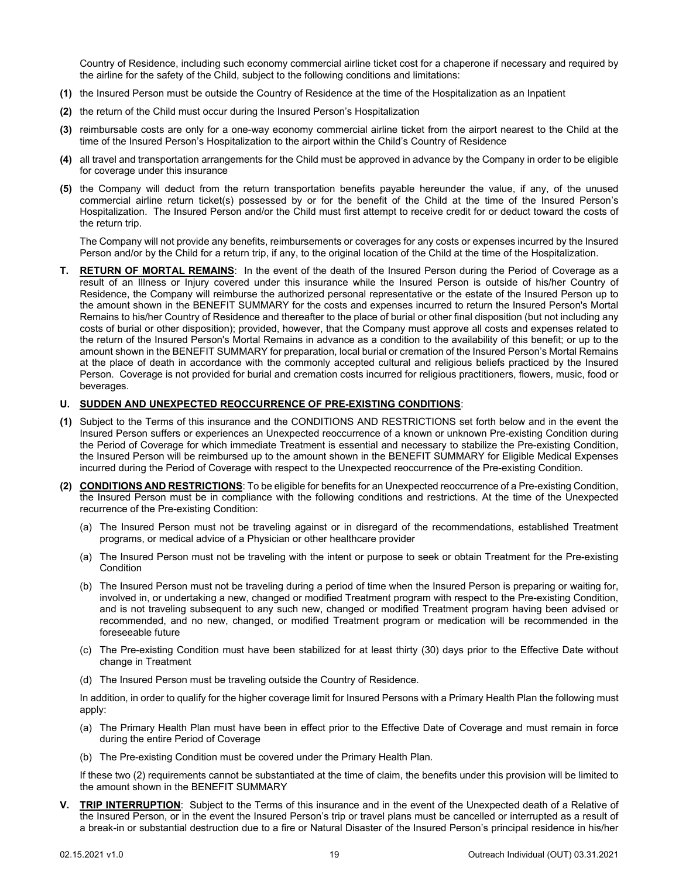Country of Residence, including such economy commercial airline ticket cost for a chaperone if necessary and required by the airline for the safety of the Child, subject to the following conditions and limitations:

- **(1)** the Insured Person must be outside the Country of Residence at the time of the Hospitalization as an Inpatient
- **(2)** the return of the Child must occur during the Insured Person's Hospitalization
- **(3)** reimbursable costs are only for a one-way economy commercial airline ticket from the airport nearest to the Child at the time of the Insured Person's Hospitalization to the airport within the Child's Country of Residence
- **(4)** all travel and transportation arrangements for the Child must be approved in advance by the Company in order to be eligible for coverage under this insurance
- **(5)** the Company will deduct from the return transportation benefits payable hereunder the value, if any, of the unused commercial airline return ticket(s) possessed by or for the benefit of the Child at the time of the Insured Person's Hospitalization. The Insured Person and/or the Child must first attempt to receive credit for or deduct toward the costs of the return trip.

The Company will not provide any benefits, reimbursements or coverages for any costs or expenses incurred by the Insured Person and/or by the Child for a return trip, if any, to the original location of the Child at the time of the Hospitalization.

<span id="page-20-0"></span>**T. RETURN OF MORTAL REMAINS**: In the event of the death of the Insured Person during the Period of Coverage as a result of an Illness or Injury covered under this insurance while the Insured Person is outside of his/her Country of Residence, the Company will reimburse the authorized personal representative or the estate of the Insured Person up to the amount shown in the BENEFIT SUMMARY for the costs and expenses incurred to return the Insured Person's Mortal Remains to his/her Country of Residence and thereafter to the place of burial or other final disposition (but not including any costs of burial or other disposition); provided, however, that the Company must approve all costs and expenses related to the return of the Insured Person's Mortal Remains in advance as a condition to the availability of this benefit; or up to the amount shown in the BENEFIT SUMMARY for preparation, local burial or cremation of the Insured Person's Mortal Remains at the place of death in accordance with the commonly accepted cultural and religious beliefs practiced by the Insured Person. Coverage is not provided for burial and cremation costs incurred for religious practitioners, flowers, music, food or beverages.

#### <span id="page-20-1"></span>**U. SUDDEN AND UNEXPECTED REOCCURRENCE OF PRE-EXISTING CONDITIONS**:

- **(1)** Subject to the Terms of this insurance and the CONDITIONS AND RESTRICTIONS set forth below and in the event the Insured Person suffers or experiences an Unexpected reoccurrence of a known or unknown Pre-existing Condition during the Period of Coverage for which immediate Treatment is essential and necessary to stabilize the Pre-existing Condition, the Insured Person will be reimbursed up to the amount shown in the BENEFIT SUMMARY for Eligible Medical Expenses incurred during the Period of Coverage with respect to the Unexpected reoccurrence of the Pre-existing Condition.
- **(2) CONDITIONS AND RESTRICTIONS**: To be eligible for benefits for an Unexpected reoccurrence of a Pre-existing Condition, the Insured Person must be in compliance with the following conditions and restrictions. At the time of the Unexpected recurrence of the Pre-existing Condition:
	- (a) The Insured Person must not be traveling against or in disregard of the recommendations, established Treatment programs, or medical advice of a Physician or other healthcare provider
	- (a) The Insured Person must not be traveling with the intent or purpose to seek or obtain Treatment for the Pre-existing **Condition**
	- (b) The Insured Person must not be traveling during a period of time when the Insured Person is preparing or waiting for, involved in, or undertaking a new, changed or modified Treatment program with respect to the Pre-existing Condition, and is not traveling subsequent to any such new, changed or modified Treatment program having been advised or recommended, and no new, changed, or modified Treatment program or medication will be recommended in the foreseeable future
	- (c) The Pre-existing Condition must have been stabilized for at least thirty (30) days prior to the Effective Date without change in Treatment
	- (d) The Insured Person must be traveling outside the Country of Residence.

In addition, in order to qualify for the higher coverage limit for Insured Persons with a Primary Health Plan the following must apply:

- (a) The Primary Health Plan must have been in effect prior to the Effective Date of Coverage and must remain in force during the entire Period of Coverage
- (b) The Pre-existing Condition must be covered under the Primary Health Plan.

If these two (2) requirements cannot be substantiated at the time of claim, the benefits under this provision will be limited to the amount shown in the BENEFIT SUMMARY

<span id="page-20-2"></span>**TRIP INTERRUPTION:** Subject to the Terms of this insurance and in the event of the Unexpected death of a Relative of the Insured Person, or in the event the Insured Person's trip or travel plans must be cancelled or interrupted as a result of a break-in or substantial destruction due to a fire or Natural Disaster of the Insured Person's principal residence in his/her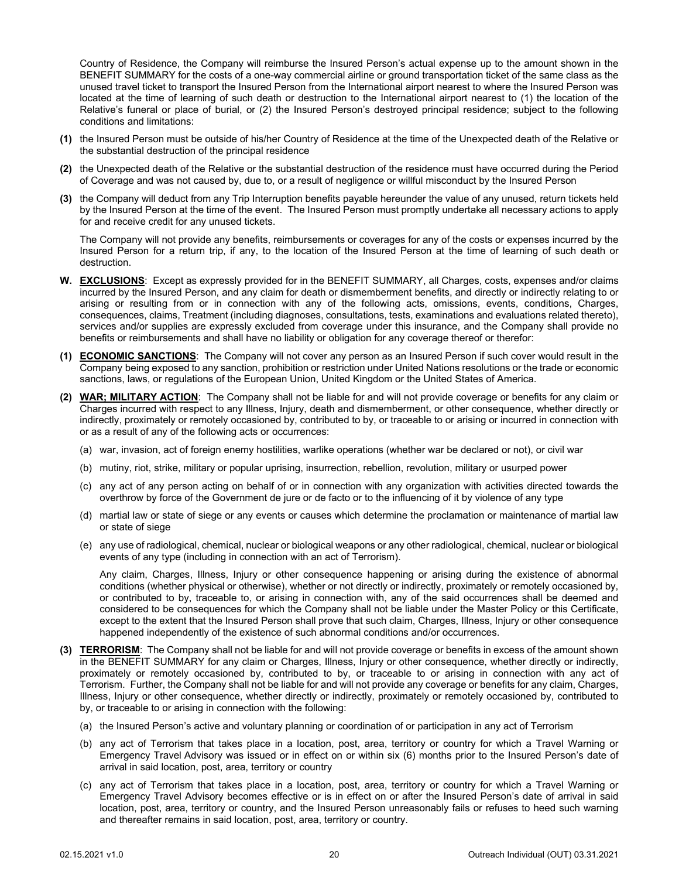Country of Residence, the Company will reimburse the Insured Person's actual expense up to the amount shown in the BENEFIT SUMMARY for the costs of a one-way commercial airline or ground transportation ticket of the same class as the unused travel ticket to transport the Insured Person from the International airport nearest to where the Insured Person was located at the time of learning of such death or destruction to the International airport nearest to (1) the location of the Relative's funeral or place of burial, or (2) the Insured Person's destroyed principal residence; subject to the following conditions and limitations:

- **(1)** the Insured Person must be outside of his/her Country of Residence at the time of the Unexpected death of the Relative or the substantial destruction of the principal residence
- **(2)** the Unexpected death of the Relative or the substantial destruction of the residence must have occurred during the Period of Coverage and was not caused by, due to, or a result of negligence or willful misconduct by the Insured Person
- **(3)** the Company will deduct from any Trip Interruption benefits payable hereunder the value of any unused, return tickets held by the Insured Person at the time of the event. The Insured Person must promptly undertake all necessary actions to apply for and receive credit for any unused tickets.

The Company will not provide any benefits, reimbursements or coverages for any of the costs or expenses incurred by the Insured Person for a return trip, if any, to the location of the Insured Person at the time of learning of such death or destruction.

- <span id="page-21-0"></span>**W. EXCLUSIONS**: Except as expressly provided for in the BENEFIT SUMMARY, all Charges, costs, expenses and/or claims incurred by the Insured Person, and any claim for death or dismemberment benefits, and directly or indirectly relating to or arising or resulting from or in connection with any of the following acts, omissions, events, conditions, Charges, consequences, claims, Treatment (including diagnoses, consultations, tests, examinations and evaluations related thereto), services and/or supplies are expressly excluded from coverage under this insurance, and the Company shall provide no benefits or reimbursements and shall have no liability or obligation for any coverage thereof or therefor:
- **(1) ECONOMIC SANCTIONS**: The Company will not cover any person as an Insured Person if such cover would result in the Company being exposed to any sanction, prohibition or restriction under United Nations resolutions or the trade or economic sanctions, laws, or regulations of the European Union, United Kingdom or the United States of America.
- **(2) WAR; MILITARY ACTION**: The Company shall not be liable for and will not provide coverage or benefits for any claim or Charges incurred with respect to any Illness, Injury, death and dismemberment, or other consequence, whether directly or indirectly, proximately or remotely occasioned by, contributed to by, or traceable to or arising or incurred in connection with or as a result of any of the following acts or occurrences:
	- (a) war, invasion, act of foreign enemy hostilities, warlike operations (whether war be declared or not), or civil war
	- (b) mutiny, riot, strike, military or popular uprising, insurrection, rebellion, revolution, military or usurped power
	- (c) any act of any person acting on behalf of or in connection with any organization with activities directed towards the overthrow by force of the Government de jure or de facto or to the influencing of it by violence of any type
	- (d) martial law or state of siege or any events or causes which determine the proclamation or maintenance of martial law or state of siege
	- (e) any use of radiological, chemical, nuclear or biological weapons or any other radiological, chemical, nuclear or biological events of any type (including in connection with an act of Terrorism).

Any claim, Charges, Illness, Injury or other consequence happening or arising during the existence of abnormal conditions (whether physical or otherwise), whether or not directly or indirectly, proximately or remotely occasioned by, or contributed to by, traceable to, or arising in connection with, any of the said occurrences shall be deemed and considered to be consequences for which the Company shall not be liable under the Master Policy or this Certificate, except to the extent that the Insured Person shall prove that such claim, Charges, Illness, Injury or other consequence happened independently of the existence of such abnormal conditions and/or occurrences.

- **(3) TERRORISM**: The Company shall not be liable for and will not provide coverage or benefits in excess of the amount shown in the BENEFIT SUMMARY for any claim or Charges, Illness, Injury or other consequence, whether directly or indirectly, proximately or remotely occasioned by, contributed to by, or traceable to or arising in connection with any act of Terrorism. Further, the Company shall not be liable for and will not provide any coverage or benefits for any claim, Charges, Illness, Injury or other consequence, whether directly or indirectly, proximately or remotely occasioned by, contributed to by, or traceable to or arising in connection with the following:
	- (a) the Insured Person's active and voluntary planning or coordination of or participation in any act of Terrorism
	- (b) any act of Terrorism that takes place in a location, post, area, territory or country for which a Travel Warning or Emergency Travel Advisory was issued or in effect on or within six (6) months prior to the Insured Person's date of arrival in said location, post, area, territory or country
	- (c) any act of Terrorism that takes place in a location, post, area, territory or country for which a Travel Warning or Emergency Travel Advisory becomes effective or is in effect on or after the Insured Person's date of arrival in said location, post, area, territory or country, and the Insured Person unreasonably fails or refuses to heed such warning and thereafter remains in said location, post, area, territory or country.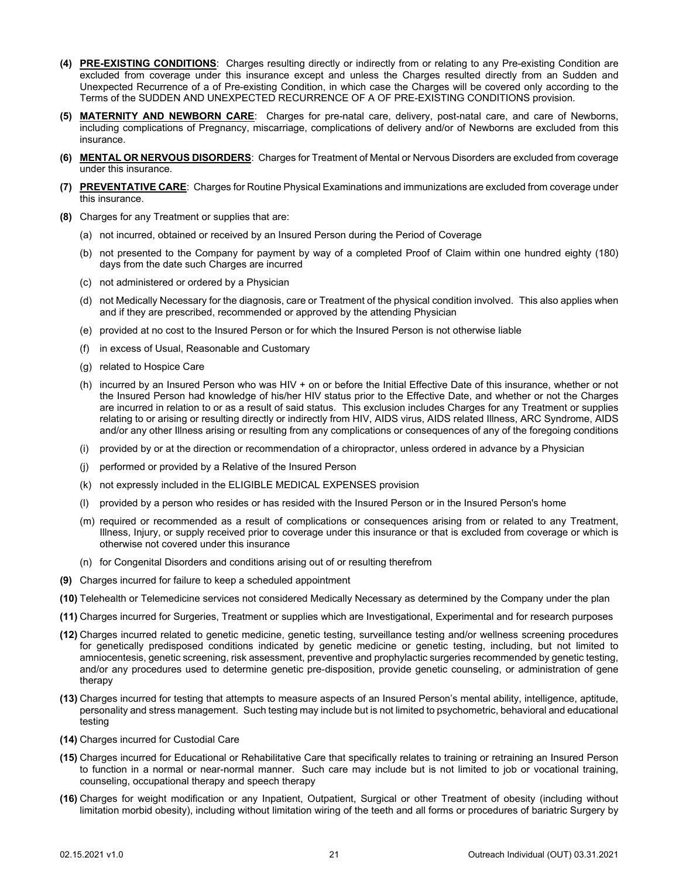- **(4) PRE-EXISTING CONDITIONS**: Charges resulting directly or indirectly from or relating to any Pre-existing Condition are excluded from coverage under this insurance except and unless the Charges resulted directly from an Sudden and Unexpected Recurrence of a of Pre-existing Condition, in which case the Charges will be covered only according to the Terms of the SUDDEN AND UNEXPECTED RECURRENCE OF A OF PRE-EXISTING CONDITIONS provision.
- **(5) MATERNITY AND NEWBORN CARE**: Charges for pre-natal care, delivery, post-natal care, and care of Newborns, including complications of Pregnancy, miscarriage, complications of delivery and/or of Newborns are excluded from this insurance.
- **(6) MENTAL OR NERVOUS DISORDERS**: Charges for Treatment of Mental or Nervous Disorders are excluded from coverage under this insurance.
- **(7) PREVENTATIVE CARE**: Charges for Routine Physical Examinations and immunizations are excluded from coverage under this insurance.
- **(8)** Charges for any Treatment or supplies that are:
	- (a) not incurred, obtained or received by an Insured Person during the Period of Coverage
	- (b) not presented to the Company for payment by way of a completed Proof of Claim within one hundred eighty (180) days from the date such Charges are incurred
	- (c) not administered or ordered by a Physician
	- (d) not Medically Necessary for the diagnosis, care or Treatment of the physical condition involved. This also applies when and if they are prescribed, recommended or approved by the attending Physician
	- (e) provided at no cost to the Insured Person or for which the Insured Person is not otherwise liable
	- (f) in excess of Usual, Reasonable and Customary
	- (g) related to Hospice Care
	- (h) incurred by an Insured Person who was HIV + on or before the Initial Effective Date of this insurance, whether or not the Insured Person had knowledge of his/her HIV status prior to the Effective Date, and whether or not the Charges are incurred in relation to or as a result of said status. This exclusion includes Charges for any Treatment or supplies relating to or arising or resulting directly or indirectly from HIV, AIDS virus, AIDS related Illness, ARC Syndrome, AIDS and/or any other Illness arising or resulting from any complications or consequences of any of the foregoing conditions
	- (i) provided by or at the direction or recommendation of a chiropractor, unless ordered in advance by a Physician
	- (j) performed or provided by a Relative of the Insured Person
	- (k) not expressly included in the ELIGIBLE MEDICAL EXPENSES provision
	- (l) provided by a person who resides or has resided with the Insured Person or in the Insured Person's home
	- (m) required or recommended as a result of complications or consequences arising from or related to any Treatment, Illness, Injury, or supply received prior to coverage under this insurance or that is excluded from coverage or which is otherwise not covered under this insurance
	- (n) for Congenital Disorders and conditions arising out of or resulting therefrom
- **(9)** Charges incurred for failure to keep a scheduled appointment
- **(10)** Telehealth or Telemedicine services not considered Medically Necessary as determined by the Company under the plan
- **(11)** Charges incurred for Surgeries, Treatment or supplies which are Investigational, Experimental and for research purposes
- **(12)** Charges incurred related to genetic medicine, genetic testing, surveillance testing and/or wellness screening procedures for genetically predisposed conditions indicated by genetic medicine or genetic testing, including, but not limited to amniocentesis, genetic screening, risk assessment, preventive and prophylactic surgeries recommended by genetic testing, and/or any procedures used to determine genetic pre-disposition, provide genetic counseling, or administration of gene therapy
- **(13)** Charges incurred for testing that attempts to measure aspects of an Insured Person's mental ability, intelligence, aptitude, personality and stress management. Such testing may include but is not limited to psychometric, behavioral and educational testing
- **(14)** Charges incurred for Custodial Care
- **(15)** Charges incurred for Educational or Rehabilitative Care that specifically relates to training or retraining an Insured Person to function in a normal or near-normal manner. Such care may include but is not limited to job or vocational training, counseling, occupational therapy and speech therapy
- **(16)** Charges for weight modification or any Inpatient, Outpatient, Surgical or other Treatment of obesity (including without limitation morbid obesity), including without limitation wiring of the teeth and all forms or procedures of bariatric Surgery by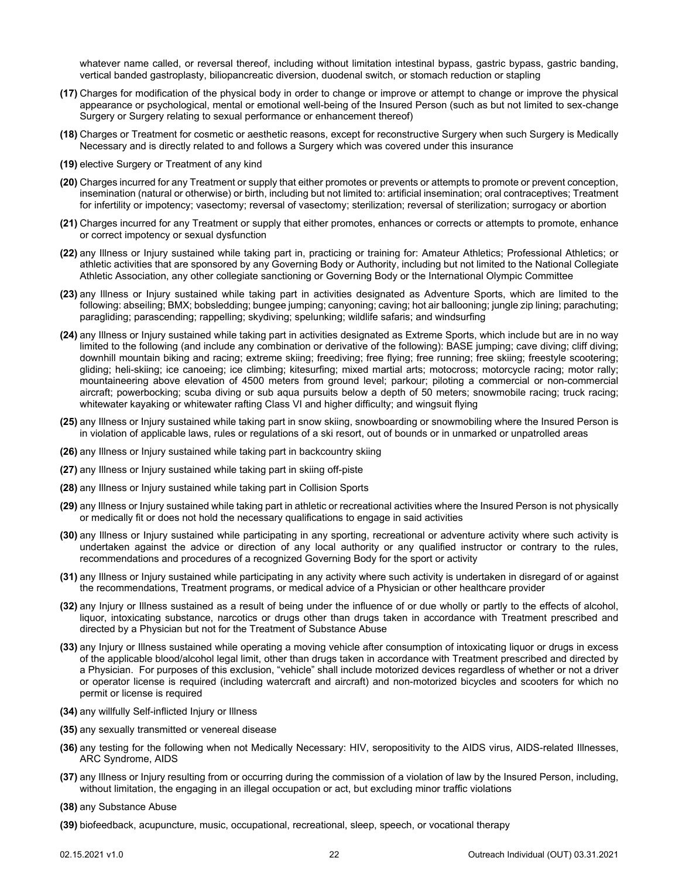whatever name called, or reversal thereof, including without limitation intestinal bypass, gastric bypass, gastric banding, vertical banded gastroplasty, biliopancreatic diversion, duodenal switch, or stomach reduction or stapling

- **(17)** Charges for modification of the physical body in order to change or improve or attempt to change or improve the physical appearance or psychological, mental or emotional well-being of the Insured Person (such as but not limited to sex-change Surgery or Surgery relating to sexual performance or enhancement thereof)
- **(18)** Charges or Treatment for cosmetic or aesthetic reasons, except for reconstructive Surgery when such Surgery is Medically Necessary and is directly related to and follows a Surgery which was covered under this insurance
- **(19)** elective Surgery or Treatment of any kind
- **(20)** Charges incurred for any Treatment or supply that either promotes or prevents or attempts to promote or prevent conception, insemination (natural or otherwise) or birth, including but not limited to: artificial insemination; oral contraceptives; Treatment for infertility or impotency; vasectomy; reversal of vasectomy; sterilization; reversal of sterilization; surrogacy or abortion
- **(21)** Charges incurred for any Treatment or supply that either promotes, enhances or corrects or attempts to promote, enhance or correct impotency or sexual dysfunction
- **(22)** any Illness or Injury sustained while taking part in, practicing or training for: Amateur Athletics; Professional Athletics; or athletic activities that are sponsored by any Governing Body or Authority, including but not limited to the National Collegiate Athletic Association, any other collegiate sanctioning or Governing Body or the International Olympic Committee
- **(23)** any Illness or Injury sustained while taking part in activities designated as Adventure Sports, which are limited to the following: abseiling; BMX; bobsledding; bungee jumping; canyoning; caving; hot air ballooning; jungle zip lining; parachuting; paragliding; parascending; rappelling; skydiving; spelunking; wildlife safaris; and windsurfing
- **(24)** any Illness or Injury sustained while taking part in activities designated as Extreme Sports, which include but are in no way limited to the following (and include any combination or derivative of the following): BASE jumping; cave diving; cliff diving; downhill mountain biking and racing; extreme skiing; freediving; free flying; free running; free skiing; freestyle scootering; gliding; heli-skiing; ice canoeing; ice climbing; kitesurfing; mixed martial arts; motocross; motorcycle racing; motor rally; mountaineering above elevation of 4500 meters from ground level; parkour; piloting a commercial or non-commercial aircraft; powerbocking; scuba diving or sub aqua pursuits below a depth of 50 meters; snowmobile racing; truck racing; whitewater kayaking or whitewater rafting Class VI and higher difficulty; and wingsuit flying
- **(25)** any Illness or Injury sustained while taking part in snow skiing, snowboarding or snowmobiling where the Insured Person is in violation of applicable laws, rules or regulations of a ski resort, out of bounds or in unmarked or unpatrolled areas
- **(26)** any Illness or Injury sustained while taking part in backcountry skiing
- **(27)** any Illness or Injury sustained while taking part in skiing off-piste
- **(28)** any Illness or Injury sustained while taking part in Collision Sports
- **(29)** any Illness or Injury sustained while taking part in athletic or recreational activities where the Insured Person is not physically or medically fit or does not hold the necessary qualifications to engage in said activities
- **(30)** any Illness or Injury sustained while participating in any sporting, recreational or adventure activity where such activity is undertaken against the advice or direction of any local authority or any qualified instructor or contrary to the rules, recommendations and procedures of a recognized Governing Body for the sport or activity
- **(31)** any Illness or Injury sustained while participating in any activity where such activity is undertaken in disregard of or against the recommendations, Treatment programs, or medical advice of a Physician or other healthcare provider
- **(32)** any Injury or Illness sustained as a result of being under the influence of or due wholly or partly to the effects of alcohol, liquor, intoxicating substance, narcotics or drugs other than drugs taken in accordance with Treatment prescribed and directed by a Physician but not for the Treatment of Substance Abuse
- **(33)** any Injury or Illness sustained while operating a moving vehicle after consumption of intoxicating liquor or drugs in excess of the applicable blood/alcohol legal limit, other than drugs taken in accordance with Treatment prescribed and directed by a Physician. For purposes of this exclusion, "vehicle" shall include motorized devices regardless of whether or not a driver or operator license is required (including watercraft and aircraft) and non-motorized bicycles and scooters for which no permit or license is required
- **(34)** any willfully Self-inflicted Injury or Illness
- **(35)** any sexually transmitted or venereal disease
- **(36)** any testing for the following when not Medically Necessary: HIV, seropositivity to the AIDS virus, AIDS-related Illnesses, ARC Syndrome, AIDS
- **(37)** any Illness or Injury resulting from or occurring during the commission of a violation of law by the Insured Person, including, without limitation, the engaging in an illegal occupation or act, but excluding minor traffic violations
- **(38)** any Substance Abuse
- **(39)** biofeedback, acupuncture, music, occupational, recreational, sleep, speech, or vocational therapy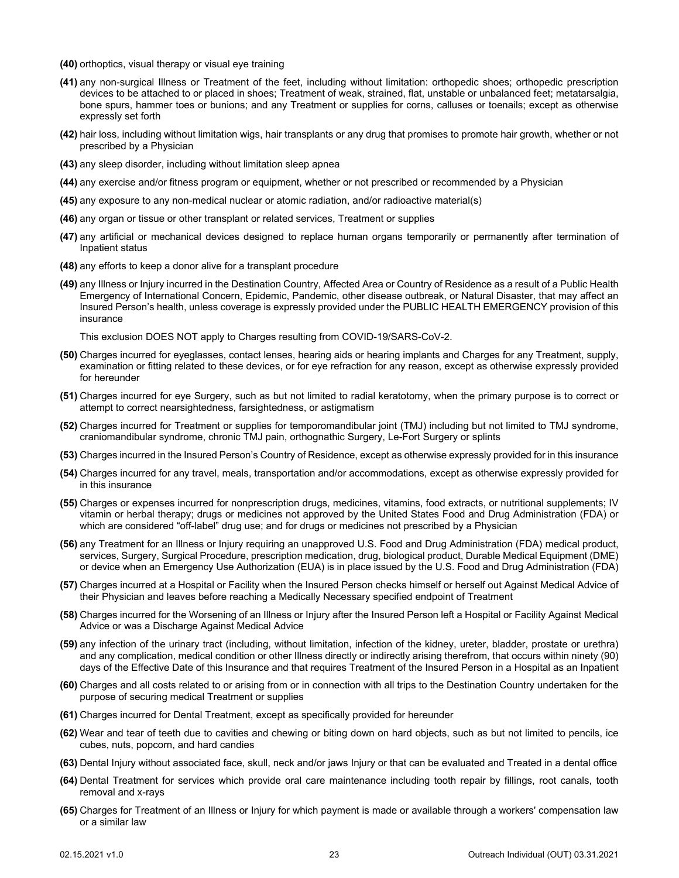- **(40)** orthoptics, visual therapy or visual eye training
- **(41)** any non-surgical Illness or Treatment of the feet, including without limitation: orthopedic shoes; orthopedic prescription devices to be attached to or placed in shoes; Treatment of weak, strained, flat, unstable or unbalanced feet; metatarsalgia, bone spurs, hammer toes or bunions; and any Treatment or supplies for corns, calluses or toenails; except as otherwise expressly set forth
- **(42)** hair loss, including without limitation wigs, hair transplants or any drug that promises to promote hair growth, whether or not prescribed by a Physician
- **(43)** any sleep disorder, including without limitation sleep apnea
- **(44)** any exercise and/or fitness program or equipment, whether or not prescribed or recommended by a Physician
- **(45)** any exposure to any non-medical nuclear or atomic radiation, and/or radioactive material(s)
- **(46)** any organ or tissue or other transplant or related services, Treatment or supplies
- **(47)** any artificial or mechanical devices designed to replace human organs temporarily or permanently after termination of Inpatient status
- **(48)** any efforts to keep a donor alive for a transplant procedure
- **(49)** any Illness or Injury incurred in the Destination Country, Affected Area or Country of Residence as a result of a Public Health Emergency of International Concern, Epidemic, Pandemic, other disease outbreak, or Natural Disaster, that may affect an Insured Person's health, unless coverage is expressly provided under the PUBLIC HEALTH EMERGENCY provision of this insurance

This exclusion DOES NOT apply to Charges resulting from COVID-19/SARS-CoV-2.

- **(50)** Charges incurred for eyeglasses, contact lenses, hearing aids or hearing implants and Charges for any Treatment, supply, examination or fitting related to these devices, or for eye refraction for any reason, except as otherwise expressly provided for hereunder
- **(51)** Charges incurred for eye Surgery, such as but not limited to radial keratotomy, when the primary purpose is to correct or attempt to correct nearsightedness, farsightedness, or astigmatism
- **(52)** Charges incurred for Treatment or supplies for temporomandibular joint (TMJ) including but not limited to TMJ syndrome, craniomandibular syndrome, chronic TMJ pain, orthognathic Surgery, Le-Fort Surgery or splints
- **(53)** Charges incurred in the Insured Person's Country of Residence, except as otherwise expressly provided for in this insurance
- **(54)** Charges incurred for any travel, meals, transportation and/or accommodations, except as otherwise expressly provided for in this insurance
- **(55)** Charges or expenses incurred for nonprescription drugs, medicines, vitamins, food extracts, or nutritional supplements; IV vitamin or herbal therapy; drugs or medicines not approved by the United States Food and Drug Administration (FDA) or which are considered "off-label" drug use; and for drugs or medicines not prescribed by a Physician
- **(56)** any Treatment for an Illness or Injury requiring an unapproved U.S. Food and Drug Administration (FDA) medical product, services, Surgery, Surgical Procedure, prescription medication, drug, biological product, Durable Medical Equipment (DME) or device when an Emergency Use Authorization (EUA) is in place issued by the U.S. Food and Drug Administration (FDA)
- **(57)** Charges incurred at a Hospital or Facility when the Insured Person checks himself or herself out Against Medical Advice of their Physician and leaves before reaching a Medically Necessary specified endpoint of Treatment
- **(58)** Charges incurred for the Worsening of an Illness or Injury after the Insured Person left a Hospital or Facility Against Medical Advice or was a Discharge Against Medical Advice
- **(59)** any infection of the urinary tract (including, without limitation, infection of the kidney, ureter, bladder, prostate or urethra) and any complication, medical condition or other Illness directly or indirectly arising therefrom, that occurs within ninety (90) days of the Effective Date of this Insurance and that requires Treatment of the Insured Person in a Hospital as an Inpatient
- **(60)** Charges and all costs related to or arising from or in connection with all trips to the Destination Country undertaken for the purpose of securing medical Treatment or supplies
- **(61)** Charges incurred for Dental Treatment, except as specifically provided for hereunder
- **(62)** Wear and tear of teeth due to cavities and chewing or biting down on hard objects, such as but not limited to pencils, ice cubes, nuts, popcorn, and hard candies
- **(63)** Dental Injury without associated face, skull, neck and/or jaws Injury or that can be evaluated and Treated in a dental office
- **(64)** Dental Treatment for services which provide oral care maintenance including tooth repair by fillings, root canals, tooth removal and x-rays
- **(65)** Charges for Treatment of an Illness or Injury for which payment is made or available through a workers' compensation law or a similar law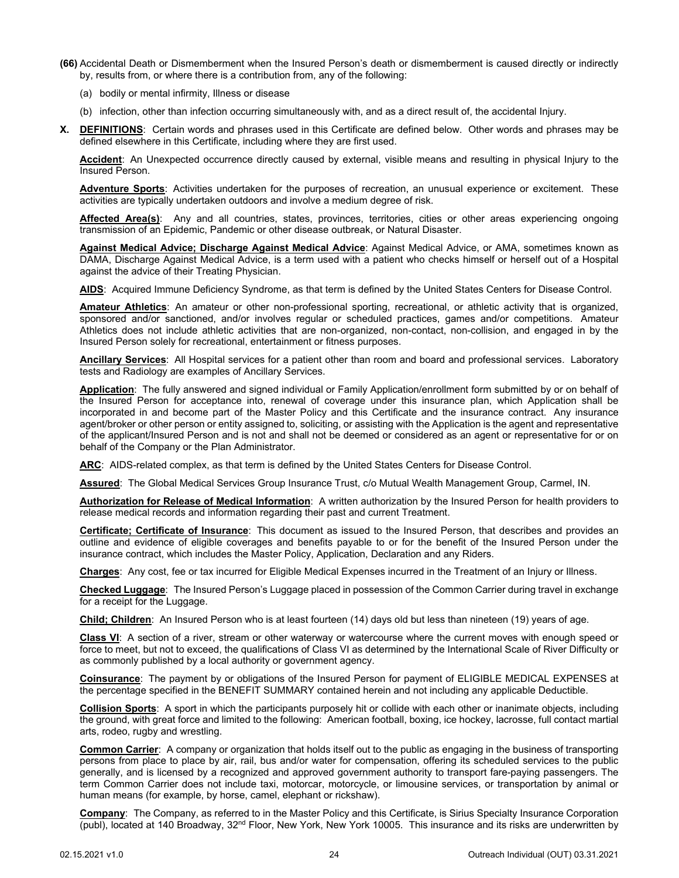- **(66)** Accidental Death or Dismemberment when the Insured Person's death or dismemberment is caused directly or indirectly by, results from, or where there is a contribution from, any of the following:
	- (a) bodily or mental infirmity, Illness or disease
	- (b) infection, other than infection occurring simultaneously with, and as a direct result of, the accidental Injury.
- <span id="page-25-0"></span>**X. DEFINITIONS**: Certain words and phrases used in this Certificate are defined below. Other words and phrases may be defined elsewhere in this Certificate, including where they are first used.

**Accident**: An Unexpected occurrence directly caused by external, visible means and resulting in physical Injury to the Insured Person.

**Adventure Sports**: Activities undertaken for the purposes of recreation, an unusual experience or excitement. These activities are typically undertaken outdoors and involve a medium degree of risk.

**Affected Area(s)**: Any and all countries, states, provinces, territories, cities or other areas experiencing ongoing transmission of an Epidemic, Pandemic or other disease outbreak, or Natural Disaster.

**Against Medical Advice; Discharge Against Medical Advice**: Against Medical Advice, or AMA, sometimes known as DAMA, Discharge Against Medical Advice, is a term used with a patient who checks himself or herself out of a Hospital against the advice of their Treating Physician.

**AIDS**: Acquired Immune Deficiency Syndrome, as that term is defined by the United States Centers for Disease Control.

**Amateur Athletics**: An amateur or other non-professional sporting, recreational, or athletic activity that is organized, sponsored and/or sanctioned, and/or involves regular or scheduled practices, games and/or competitions. Amateur Athletics does not include athletic activities that are non-organized, non-contact, non-collision, and engaged in by the Insured Person solely for recreational, entertainment or fitness purposes.

**Ancillary Services**: All Hospital services for a patient other than room and board and professional services. Laboratory tests and Radiology are examples of Ancillary Services.

**Application**: The fully answered and signed individual or Family Application/enrollment form submitted by or on behalf of the Insured Person for acceptance into, renewal of coverage under this insurance plan, which Application shall be incorporated in and become part of the Master Policy and this Certificate and the insurance contract. Any insurance agent/broker or other person or entity assigned to, soliciting, or assisting with the Application is the agent and representative of the applicant/Insured Person and is not and shall not be deemed or considered as an agent or representative for or on behalf of the Company or the Plan Administrator.

**ARC**: AIDS-related complex, as that term is defined by the United States Centers for Disease Control.

**Assured**: The Global Medical Services Group Insurance Trust, c/o Mutual Wealth Management Group, Carmel, IN.

**Authorization for Release of Medical Information**: A written authorization by the Insured Person for health providers to release medical records and information regarding their past and current Treatment.

**Certificate; Certificate of Insurance**: This document as issued to the Insured Person, that describes and provides an outline and evidence of eligible coverages and benefits payable to or for the benefit of the Insured Person under the insurance contract, which includes the Master Policy, Application, Declaration and any Riders.

**Charges**: Any cost, fee or tax incurred for Eligible Medical Expenses incurred in the Treatment of an Injury or Illness.

**Checked Luggage**: The Insured Person's Luggage placed in possession of the Common Carrier during travel in exchange for a receipt for the Luggage.

**Child; Children**: An Insured Person who is at least fourteen (14) days old but less than nineteen (19) years of age.

**Class VI**: A section of a river, stream or other waterway or watercourse where the current moves with enough speed or force to meet, but not to exceed, the qualifications of Class VI as determined by the International Scale of River Difficulty or as commonly published by a local authority or government agency.

**Coinsurance**: The payment by or obligations of the Insured Person for payment of ELIGIBLE MEDICAL EXPENSES at the percentage specified in the BENEFIT SUMMARY contained herein and not including any applicable Deductible.

**Collision Sports**: A sport in which the participants purposely hit or collide with each other or inanimate objects, including the ground, with great force and limited to the following: American football, boxing, ice hockey, lacrosse, full contact martial arts, rodeo, rugby and wrestling.

**Common Carrier**: A company or organization that holds itself out to the public as engaging in the business of transporting persons from place to place by air, rail, bus and/or water for compensation, offering its scheduled services to the public generally, and is licensed by a recognized and approved government authority to transport fare-paying passengers. The term Common Carrier does not include taxi, motorcar, motorcycle, or limousine services, or transportation by animal or human means (for example, by horse, camel, elephant or rickshaw).

**Company**: The Company, as referred to in the Master Policy and this Certificate, is Sirius Specialty Insurance Corporation (publ), located at 140 Broadway, 32<sup>nd</sup> Floor, New York, New York 10005. This insurance and its risks are underwritten by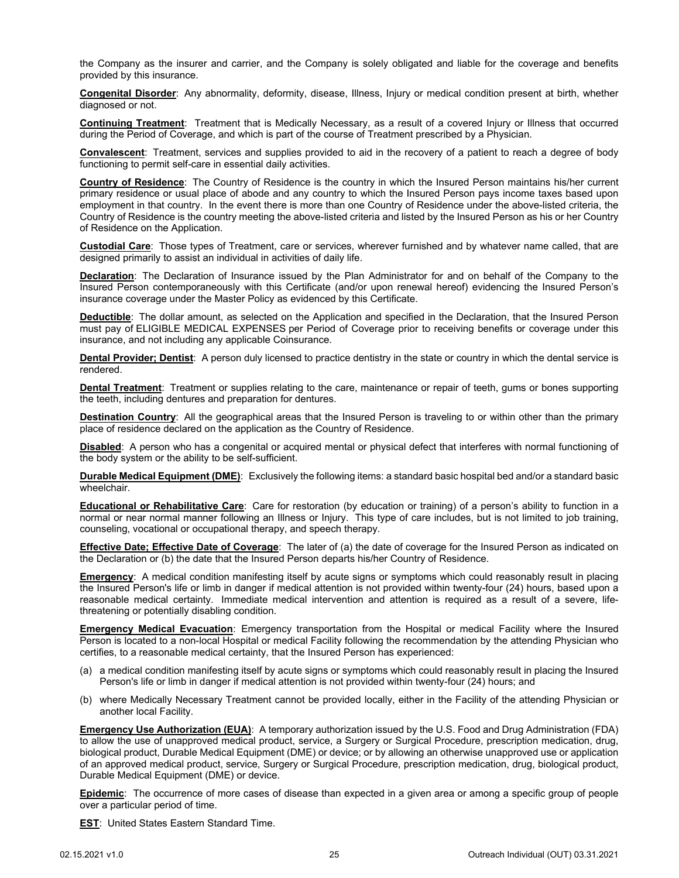the Company as the insurer and carrier, and the Company is solely obligated and liable for the coverage and benefits provided by this insurance.

**Congenital Disorder**: Any abnormality, deformity, disease, Illness, Injury or medical condition present at birth, whether diagnosed or not.

**Continuing Treatment**: Treatment that is Medically Necessary, as a result of a covered Injury or Illness that occurred during the Period of Coverage, and which is part of the course of Treatment prescribed by a Physician.

**Convalescent**: Treatment, services and supplies provided to aid in the recovery of a patient to reach a degree of body functioning to permit self-care in essential daily activities.

**Country of Residence**: The Country of Residence is the country in which the Insured Person maintains his/her current primary residence or usual place of abode and any country to which the Insured Person pays income taxes based upon employment in that country. In the event there is more than one Country of Residence under the above-listed criteria, the Country of Residence is the country meeting the above-listed criteria and listed by the Insured Person as his or her Country of Residence on the Application.

**Custodial Care**: Those types of Treatment, care or services, wherever furnished and by whatever name called, that are designed primarily to assist an individual in activities of daily life.

**Declaration**: The Declaration of Insurance issued by the Plan Administrator for and on behalf of the Company to the Insured Person contemporaneously with this Certificate (and/or upon renewal hereof) evidencing the Insured Person's insurance coverage under the Master Policy as evidenced by this Certificate.

**Deductible**: The dollar amount, as selected on the Application and specified in the Declaration, that the Insured Person must pay of ELIGIBLE MEDICAL EXPENSES per Period of Coverage prior to receiving benefits or coverage under this insurance, and not including any applicable Coinsurance.

**Dental Provider; Dentist**: A person duly licensed to practice dentistry in the state or country in which the dental service is rendered.

**Dental Treatment**: Treatment or supplies relating to the care, maintenance or repair of teeth, gums or bones supporting the teeth, including dentures and preparation for dentures.

**Destination Country**: All the geographical areas that the Insured Person is traveling to or within other than the primary place of residence declared on the application as the Country of Residence.

**Disabled**: A person who has a congenital or acquired mental or physical defect that interferes with normal functioning of the body system or the ability to be self-sufficient.

**Durable Medical Equipment (DME)**: Exclusively the following items: a standard basic hospital bed and/or a standard basic wheelchair.

**Educational or Rehabilitative Care**: Care for restoration (by education or training) of a person's ability to function in a normal or near normal manner following an Illness or Injury. This type of care includes, but is not limited to job training, counseling, vocational or occupational therapy, and speech therapy.

**Effective Date; Effective Date of Coverage**: The later of (a) the date of coverage for the Insured Person as indicated on the Declaration or (b) the date that the Insured Person departs his/her Country of Residence.

**Emergency:** A medical condition manifesting itself by acute signs or symptoms which could reasonably result in placing the Insured Person's life or limb in danger if medical attention is not provided within twenty-four (24) hours, based upon a reasonable medical certainty. Immediate medical intervention and attention is required as a result of a severe, lifethreatening or potentially disabling condition.

**Emergency Medical Evacuation**: Emergency transportation from the Hospital or medical Facility where the Insured Person is located to a non-local Hospital or medical Facility following the recommendation by the attending Physician who certifies, to a reasonable medical certainty, that the Insured Person has experienced:

- (a) a medical condition manifesting itself by acute signs or symptoms which could reasonably result in placing the Insured Person's life or limb in danger if medical attention is not provided within twenty-four (24) hours; and
- (b) where Medically Necessary Treatment cannot be provided locally, either in the Facility of the attending Physician or another local Facility.

**Emergency Use Authorization (EUA)**: A temporary authorization issued by the U.S. Food and Drug Administration (FDA) to allow the use of unapproved medical product, service, a Surgery or Surgical Procedure, prescription medication, drug, biological product, Durable Medical Equipment (DME) or device; or by allowing an otherwise unapproved use or application of an approved medical product, service, Surgery or Surgical Procedure, prescription medication, drug, biological product, Durable Medical Equipment (DME) or device.

**Epidemic**: The occurrence of more cases of disease than expected in a given area or among a specific group of people over a particular period of time.

**EST**: United States Eastern Standard Time.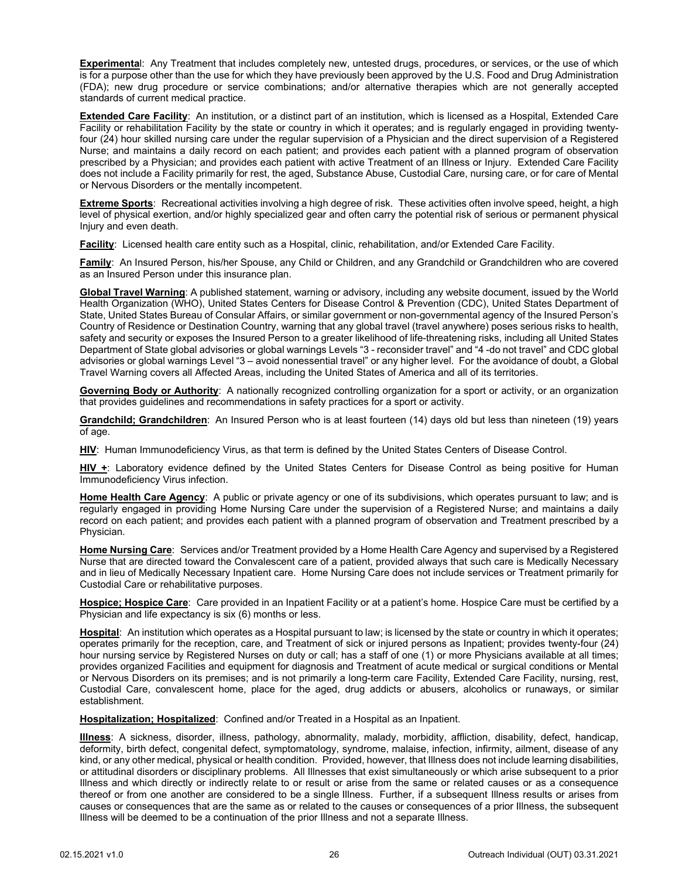**Experimenta**l: Any Treatment that includes completely new, untested drugs, procedures, or services, or the use of which is for a purpose other than the use for which they have previously been approved by the U.S. Food and Drug Administration (FDA); new drug procedure or service combinations; and/or alternative therapies which are not generally accepted standards of current medical practice.

**Extended Care Facility**: An institution, or a distinct part of an institution, which is licensed as a Hospital, Extended Care Facility or rehabilitation Facility by the state or country in which it operates; and is regularly engaged in providing twentyfour (24) hour skilled nursing care under the regular supervision of a Physician and the direct supervision of a Registered Nurse; and maintains a daily record on each patient; and provides each patient with a planned program of observation prescribed by a Physician; and provides each patient with active Treatment of an Illness or Injury. Extended Care Facility does not include a Facility primarily for rest, the aged, Substance Abuse, Custodial Care, nursing care, or for care of Mental or Nervous Disorders or the mentally incompetent.

**Extreme Sports**: Recreational activities involving a high degree of risk. These activities often involve speed, height, a high level of physical exertion, and/or highly specialized gear and often carry the potential risk of serious or permanent physical Injury and even death.

**Facility**: Licensed health care entity such as a Hospital, clinic, rehabilitation, and/or Extended Care Facility.

**Family**: An Insured Person, his/her Spouse, any Child or Children, and any Grandchild or Grandchildren who are covered as an Insured Person under this insurance plan.

**Global Travel Warning**: A published statement, warning or advisory, including any website document, issued by the World Health Organization (WHO), United States Centers for Disease Control & Prevention (CDC), United States Department of State, United States Bureau of Consular Affairs, or similar government or non-governmental agency of the Insured Person's Country of Residence or Destination Country, warning that any global travel (travel anywhere) poses serious risks to health, safety and security or exposes the Insured Person to a greater likelihood of life-threatening risks, including all United States Department of State global advisories or global warnings Levels "3 - reconsider travel" and "4 -do not travel" and CDC global advisories or global warnings Level "3 – avoid nonessential travel" or any higher level. For the avoidance of doubt, a Global Travel Warning covers all Affected Areas, including the United States of America and all of its territories.

**Governing Body or Authority**: A nationally recognized controlling organization for a sport or activity, or an organization that provides guidelines and recommendations in safety practices for a sport or activity.

**Grandchild; Grandchildren**: An Insured Person who is at least fourteen (14) days old but less than nineteen (19) years of age.

**HIV**: Human Immunodeficiency Virus, as that term is defined by the United States Centers of Disease Control.

**HIV +**: Laboratory evidence defined by the United States Centers for Disease Control as being positive for Human Immunodeficiency Virus infection.

**Home Health Care Agency**: A public or private agency or one of its subdivisions, which operates pursuant to law; and is regularly engaged in providing Home Nursing Care under the supervision of a Registered Nurse; and maintains a daily record on each patient; and provides each patient with a planned program of observation and Treatment prescribed by a Physician.

**Home Nursing Care**: Services and/or Treatment provided by a Home Health Care Agency and supervised by a Registered Nurse that are directed toward the Convalescent care of a patient, provided always that such care is Medically Necessary and in lieu of Medically Necessary Inpatient care. Home Nursing Care does not include services or Treatment primarily for Custodial Care or rehabilitative purposes.

**Hospice; Hospice Care**: Care provided in an Inpatient Facility or at a patient's home. Hospice Care must be certified by a Physician and life expectancy is six (6) months or less.

**Hospital**: An institution which operates as a Hospital pursuant to law; is licensed by the state or country in which it operates; operates primarily for the reception, care, and Treatment of sick or injured persons as Inpatient; provides twenty-four (24) hour nursing service by Registered Nurses on duty or call; has a staff of one (1) or more Physicians available at all times; provides organized Facilities and equipment for diagnosis and Treatment of acute medical or surgical conditions or Mental or Nervous Disorders on its premises; and is not primarily a long-term care Facility, Extended Care Facility, nursing, rest, Custodial Care, convalescent home, place for the aged, drug addicts or abusers, alcoholics or runaways, or similar establishment.

**Hospitalization; Hospitalized**: Confined and/or Treated in a Hospital as an Inpatient.

**Illness**: A sickness, disorder, illness, pathology, abnormality, malady, morbidity, affliction, disability, defect, handicap, deformity, birth defect, congenital defect, symptomatology, syndrome, malaise, infection, infirmity, ailment, disease of any kind, or any other medical, physical or health condition. Provided, however, that Illness does not include learning disabilities, or attitudinal disorders or disciplinary problems. All Illnesses that exist simultaneously or which arise subsequent to a prior Illness and which directly or indirectly relate to or result or arise from the same or related causes or as a consequence thereof or from one another are considered to be a single Illness. Further, if a subsequent Illness results or arises from causes or consequences that are the same as or related to the causes or consequences of a prior Illness, the subsequent Illness will be deemed to be a continuation of the prior Illness and not a separate Illness.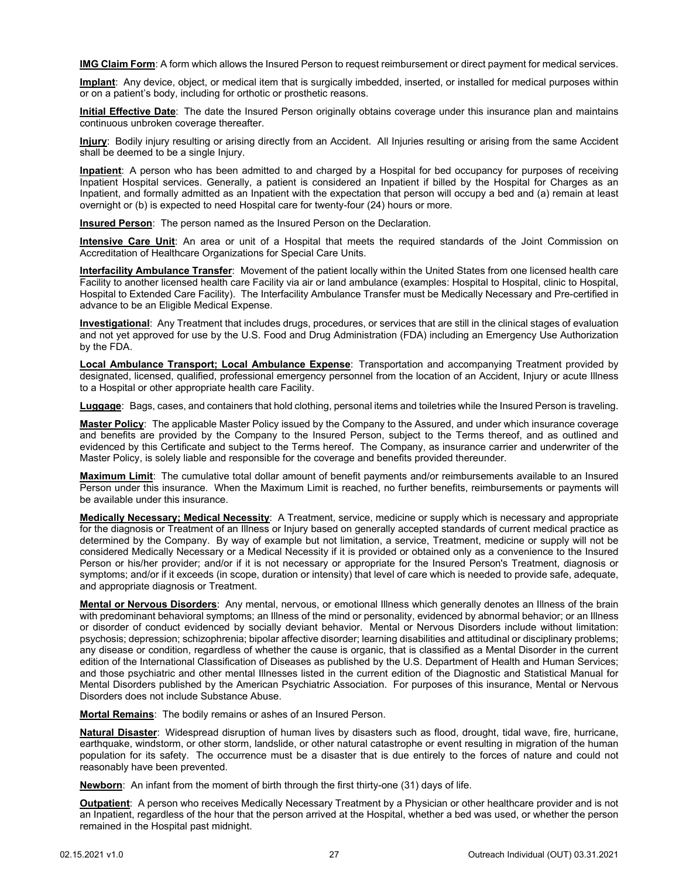**IMG Claim Form**: A form which allows the Insured Person to request reimbursement or direct payment for medical services.

**Implant**: Any device, object, or medical item that is surgically imbedded, inserted, or installed for medical purposes within or on a patient's body, including for orthotic or prosthetic reasons.

**Initial Effective Date**: The date the Insured Person originally obtains coverage under this insurance plan and maintains continuous unbroken coverage thereafter.

**Injury**: Bodily injury resulting or arising directly from an Accident. All Injuries resulting or arising from the same Accident shall be deemed to be a single Injury.

**Inpatient**: A person who has been admitted to and charged by a Hospital for bed occupancy for purposes of receiving Inpatient Hospital services. Generally, a patient is considered an Inpatient if billed by the Hospital for Charges as an Inpatient, and formally admitted as an Inpatient with the expectation that person will occupy a bed and (a) remain at least overnight or (b) is expected to need Hospital care for twenty-four (24) hours or more.

**Insured Person**: The person named as the Insured Person on the Declaration.

**Intensive Care Unit**: An area or unit of a Hospital that meets the required standards of the Joint Commission on Accreditation of Healthcare Organizations for Special Care Units.

**Interfacility Ambulance Transfer**: Movement of the patient locally within the United States from one licensed health care Facility to another licensed health care Facility via air or land ambulance (examples: Hospital to Hospital, clinic to Hospital, Hospital to Extended Care Facility). The Interfacility Ambulance Transfer must be Medically Necessary and Pre-certified in advance to be an Eligible Medical Expense.

**Investigational**: Any Treatment that includes drugs, procedures, or services that are still in the clinical stages of evaluation and not yet approved for use by the U.S. Food and Drug Administration (FDA) including an Emergency Use Authorization by the FDA.

**Local Ambulance Transport; Local Ambulance Expense**: Transportation and accompanying Treatment provided by designated, licensed, qualified, professional emergency personnel from the location of an Accident, Injury or acute Illness to a Hospital or other appropriate health care Facility.

**Luggage**: Bags, cases, and containers that hold clothing, personal items and toiletries while the Insured Person is traveling.

**Master Policy**: The applicable Master Policy issued by the Company to the Assured, and under which insurance coverage and benefits are provided by the Company to the Insured Person, subject to the Terms thereof, and as outlined and evidenced by this Certificate and subject to the Terms hereof. The Company, as insurance carrier and underwriter of the Master Policy, is solely liable and responsible for the coverage and benefits provided thereunder.

**Maximum Limit**: The cumulative total dollar amount of benefit payments and/or reimbursements available to an Insured Person under this insurance. When the Maximum Limit is reached, no further benefits, reimbursements or payments will be available under this insurance.

**Medically Necessary; Medical Necessity**: A Treatment, service, medicine or supply which is necessary and appropriate for the diagnosis or Treatment of an Illness or Injury based on generally accepted standards of current medical practice as determined by the Company. By way of example but not limitation, a service, Treatment, medicine or supply will not be considered Medically Necessary or a Medical Necessity if it is provided or obtained only as a convenience to the Insured Person or his/her provider; and/or if it is not necessary or appropriate for the Insured Person's Treatment, diagnosis or symptoms; and/or if it exceeds (in scope, duration or intensity) that level of care which is needed to provide safe, adequate, and appropriate diagnosis or Treatment.

**Mental or Nervous Disorders**: Any mental, nervous, or emotional Illness which generally denotes an Illness of the brain with predominant behavioral symptoms; an Illness of the mind or personality, evidenced by abnormal behavior; or an Illness or disorder of conduct evidenced by socially deviant behavior. Mental or Nervous Disorders include without limitation: psychosis; depression; schizophrenia; bipolar affective disorder; learning disabilities and attitudinal or disciplinary problems; any disease or condition, regardless of whether the cause is organic, that is classified as a Mental Disorder in the current edition of the International Classification of Diseases as published by the U.S. Department of Health and Human Services; and those psychiatric and other mental Illnesses listed in the current edition of the Diagnostic and Statistical Manual for Mental Disorders published by the American Psychiatric Association. For purposes of this insurance, Mental or Nervous Disorders does not include Substance Abuse.

**Mortal Remains**: The bodily remains or ashes of an Insured Person.

**Natural Disaster**: Widespread disruption of human lives by disasters such as flood, drought, tidal wave, fire, hurricane, earthquake, windstorm, or other storm, landslide, or other natural catastrophe or event resulting in migration of the human population for its safety. The occurrence must be a disaster that is due entirely to the forces of nature and could not reasonably have been prevented.

**Newborn**: An infant from the moment of birth through the first thirty-one (31) days of life.

**Outpatient**: A person who receives Medically Necessary Treatment by a Physician or other healthcare provider and is not an Inpatient, regardless of the hour that the person arrived at the Hospital, whether a bed was used, or whether the person remained in the Hospital past midnight.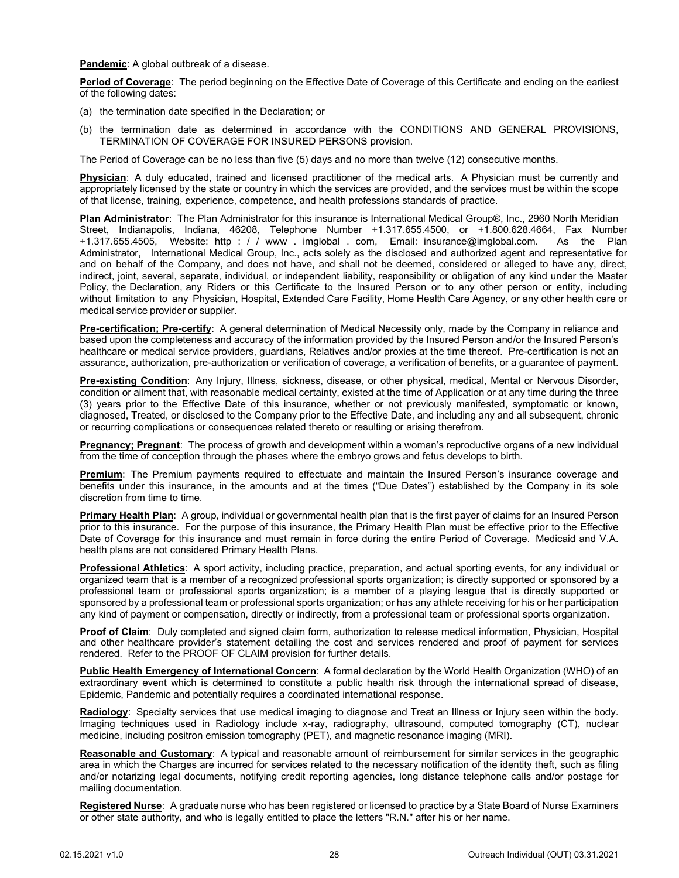**Pandemic**: A global outbreak of a disease.

**Period of Coverage**: The period beginning on the Effective Date of Coverage of this Certificate and ending on the earliest of the following dates:

- (a) the termination date specified in the Declaration; or
- (b) the termination date as determined in accordance with the CONDITIONS AND GENERAL PROVISIONS, TERMINATION OF COVERAGE FOR INSURED PERSONS provision.

The Period of Coverage can be no less than five (5) days and no more than twelve (12) consecutive months.

**Physician**: A duly educated, trained and licensed practitioner of the medical arts. A Physician must be currently and appropriately licensed by the state or country in which the services are provided, and the services must be within the scope of that license, training, experience, competence, and health professions standards of practice.

**Plan Administrator**: The Plan Administrator for this insurance is International Medical Group®, Inc., 2960 North Meridian Street, Indianapolis, Indiana, 46208, Telephone Number +1.317.655.4500, or +1.800.628.4664, Fax Number +1.317.655.4505, Website: http : / / www . imglobal . com, Email: insurance@imglobal.com. As the Plan Administrator, International Medical Group, Inc., acts solely as the disclosed and authorized agent and representative for and on behalf of the Company, and does not have, and shall not be deemed, considered or alleged to have any, direct, indirect, joint, several, separate, individual, or independent liability, responsibility or obligation of any kind under the Master Policy, the Declaration, any Riders or this Certificate to the Insured Person or to any other person or entity, including without limitation to any Physician, Hospital, Extended Care Facility, Home Health Care Agency, or any other health care or medical service provider or supplier.

**Pre-certification; Pre-certify**: A general determination of Medical Necessity only, made by the Company in reliance and based upon the completeness and accuracy of the information provided by the Insured Person and/or the Insured Person's healthcare or medical service providers, guardians, Relatives and/or proxies at the time thereof. Pre-certification is not an assurance, authorization, pre-authorization or verification of coverage, a verification of benefits, or a guarantee of payment.

**Pre-existing Condition**: Any Injury, Illness, sickness, disease, or other physical, medical, Mental or Nervous Disorder, condition or ailment that, with reasonable medical certainty, existed at the time of Application or at any time during the three (3) years prior to the Effective Date of this insurance, whether or not previously manifested, symptomatic or known, diagnosed, Treated, or disclosed to the Company prior to the Effective Date, and including any and all subsequent, chronic or recurring complications or consequences related thereto or resulting or arising therefrom.

**Pregnancy; Pregnant**: The process of growth and development within a woman's reproductive organs of a new individual from the time of conception through the phases where the embryo grows and fetus develops to birth.

**Premium**: The Premium payments required to effectuate and maintain the Insured Person's insurance coverage and benefits under this insurance, in the amounts and at the times ("Due Dates") established by the Company in its sole discretion from time to time.

**Primary Health Plan**: A group, individual or governmental health plan that is the first payer of claims for an Insured Person prior to this insurance. For the purpose of this insurance, the Primary Health Plan must be effective prior to the Effective Date of Coverage for this insurance and must remain in force during the entire Period of Coverage. Medicaid and V.A. health plans are not considered Primary Health Plans.

**Professional Athletics**: A sport activity, including practice, preparation, and actual sporting events, for any individual or organized team that is a member of a recognized professional sports organization; is directly supported or sponsored by a professional team or professional sports organization; is a member of a playing league that is directly supported or sponsored by a professional team or professional sports organization; or has any athlete receiving for his or her participation any kind of payment or compensation, directly or indirectly, from a professional team or professional sports organization.

**Proof of Claim**: Duly completed and signed claim form, authorization to release medical information, Physician, Hospital and other healthcare provider's statement detailing the cost and services rendered and proof of payment for services rendered. Refer to the PROOF OF CLAIM provision for further details.

**Public Health Emergency of International Concern**: A formal declaration by the World Health Organization (WHO) of an extraordinary event which is determined to constitute a public health risk through the international spread of disease, Epidemic, Pandemic and potentially requires a coordinated international response.

**Radiology**: Specialty services that use medical imaging to diagnose and Treat an Illness or Injury seen within the body. Imaging techniques used in Radiology include x-ray, radiography, ultrasound, computed tomography (CT), nuclear medicine, including positron emission tomography (PET), and magnetic resonance imaging (MRI).

**Reasonable and Customary**: A typical and reasonable amount of reimbursement for similar services in the geographic area in which the Charges are incurred for services related to the necessary notification of the identity theft, such as filing and/or notarizing legal documents, notifying credit reporting agencies, long distance telephone calls and/or postage for mailing documentation.

**Registered Nurse**: A graduate nurse who has been registered or licensed to practice by a State Board of Nurse Examiners or other state authority, and who is legally entitled to place the letters "R.N." after his or her name.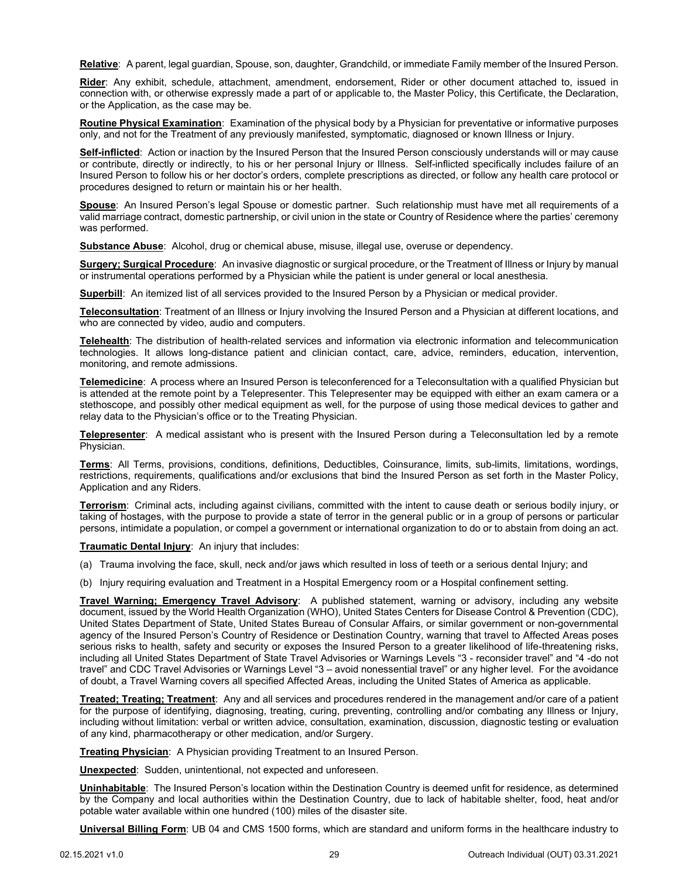**Relative**: A parent, legal guardian, Spouse, son, daughter, Grandchild, or immediate Family member of the Insured Person.

**Rider**: Any exhibit, schedule, attachment, amendment, endorsement, Rider or other document attached to, issued in connection with, or otherwise expressly made a part of or applicable to, the Master Policy, this Certificate, the Declaration, or the Application, as the case may be.

**Routine Physical Examination**: Examination of the physical body by a Physician for preventative or informative purposes only, and not for the Treatment of any previously manifested, symptomatic, diagnosed or known Illness or Injury.

**Self-inflicted**: Action or inaction by the Insured Person that the Insured Person consciously understands will or may cause or contribute, directly or indirectly, to his or her personal Injury or Illness. Self-inflicted specifically includes failure of an Insured Person to follow his or her doctor's orders, complete prescriptions as directed, or follow any health care protocol or procedures designed to return or maintain his or her health.

**Spouse**: An Insured Person's legal Spouse or domestic partner. Such relationship must have met all requirements of a valid marriage contract, domestic partnership, or civil union in the state or Country of Residence where the parties' ceremony was performed.

**Substance Abuse**: Alcohol, drug or chemical abuse, misuse, illegal use, overuse or dependency.

**Surgery; Surgical Procedure**: An invasive diagnostic or surgical procedure, or the Treatment of Illness or Injury by manual or instrumental operations performed by a Physician while the patient is under general or local anesthesia.

**Superbill**: An itemized list of all services provided to the Insured Person by a Physician or medical provider.

**Teleconsultation**: Treatment of an Illness or Injury involving the Insured Person and a Physician at different locations, and who are connected by video, audio and computers.

**Telehealth**: The distribution of health-related services and information via electronic information and telecommunication technologies. It allows long-distance patient and clinician contact, care, advice, reminders, education, intervention, monitoring, and remote admissions.

**Telemedicine**: A process where an Insured Person is teleconferenced for a Teleconsultation with a qualified Physician but is attended at the remote point by a Telepresenter. This Telepresenter may be equipped with either an exam camera or a stethoscope, and possibly other medical equipment as well, for the purpose of using those medical devices to gather and relay data to the Physician's office or to the Treating Physician.

**Telepresenter**: A medical assistant who is present with the Insured Person during a Teleconsultation led by a remote Physician.

**Terms**: All Terms, provisions, conditions, definitions, Deductibles, Coinsurance, limits, sub-limits, limitations, wordings, restrictions, requirements, qualifications and/or exclusions that bind the Insured Person as set forth in the Master Policy, Application and any Riders.

**Terrorism**: Criminal acts, including against civilians, committed with the intent to cause death or serious bodily injury, or taking of hostages, with the purpose to provide a state of terror in the general public or in a group of persons or particular persons, intimidate a population, or compel a government or international organization to do or to abstain from doing an act.

#### **Traumatic Dental Injury**: An injury that includes:

- (a) Trauma involving the face, skull, neck and/or jaws which resulted in loss of teeth or a serious dental Injury; and
- (b) Injury requiring evaluation and Treatment in a Hospital Emergency room or a Hospital confinement setting.

**Travel Warning; Emergency Travel Advisory**: A published statement, warning or advisory, including any website document, issued by the World Health Organization (WHO), United States Centers for Disease Control & Prevention (CDC), United States Department of State, United States Bureau of Consular Affairs, or similar government or non-governmental agency of the Insured Person's Country of Residence or Destination Country, warning that travel to Affected Areas poses serious risks to health, safety and security or exposes the Insured Person to a greater likelihood of life-threatening risks, including all United States Department of State Travel Advisories or Warnings Levels "3 - reconsider travel" and "4 -do not travel" and CDC Travel Advisories or Warnings Level "3 – avoid nonessential travel" or any higher level. For the avoidance of doubt, a Travel Warning covers all specified Affected Areas, including the United States of America as applicable.

**Treated; Treating; Treatment**: Any and all services and procedures rendered in the management and/or care of a patient for the purpose of identifying, diagnosing, treating, curing, preventing, controlling and/or combating any Illness or Injury, including without limitation: verbal or written advice, consultation, examination, discussion, diagnostic testing or evaluation of any kind, pharmacotherapy or other medication, and/or Surgery.

**Treating Physician**: A Physician providing Treatment to an Insured Person.

**Unexpected**: Sudden, unintentional, not expected and unforeseen.

**Uninhabitable**: The Insured Person's location within the Destination Country is deemed unfit for residence, as determined by the Company and local authorities within the Destination Country, due to lack of habitable shelter, food, heat and/or potable water available within one hundred (100) miles of the disaster site.

**Universal Billing Form**: UB 04 and CMS 1500 forms, which are standard and uniform forms in the healthcare industry to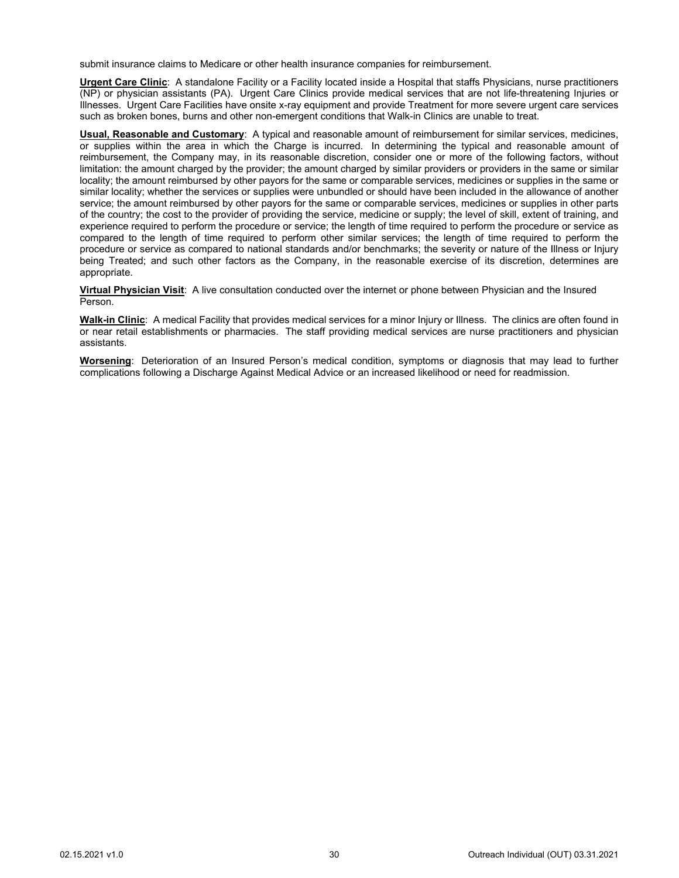submit insurance claims to Medicare or other health insurance companies for reimbursement.

**Urgent Care Clinic**: A standalone Facility or a Facility located inside a Hospital that staffs Physicians, nurse practitioners (NP) or physician assistants (PA). Urgent Care Clinics provide medical services that are not life-threatening Injuries or Illnesses. Urgent Care Facilities have onsite x-ray equipment and provide Treatment for more severe urgent care services such as broken bones, burns and other non-emergent conditions that Walk-in Clinics are unable to treat.

**Usual, Reasonable and Customary**: A typical and reasonable amount of reimbursement for similar services, medicines, or supplies within the area in which the Charge is incurred. In determining the typical and reasonable amount of reimbursement, the Company may, in its reasonable discretion, consider one or more of the following factors, without limitation: the amount charged by the provider; the amount charged by similar providers or providers in the same or similar locality; the amount reimbursed by other payors for the same or comparable services, medicines or supplies in the same or similar locality; whether the services or supplies were unbundled or should have been included in the allowance of another service; the amount reimbursed by other payors for the same or comparable services, medicines or supplies in other parts of the country; the cost to the provider of providing the service, medicine or supply; the level of skill, extent of training, and experience required to perform the procedure or service; the length of time required to perform the procedure or service as compared to the length of time required to perform other similar services; the length of time required to perform the procedure or service as compared to national standards and/or benchmarks; the severity or nature of the Illness or Injury being Treated; and such other factors as the Company, in the reasonable exercise of its discretion, determines are appropriate.

**Virtual Physician Visit**: A live consultation conducted over the internet or phone between Physician and the Insured Person.

**Walk-in Clinic**: A medical Facility that provides medical services for a minor Injury or Illness. The clinics are often found in or near retail establishments or pharmacies. The staff providing medical services are nurse practitioners and physician assistants.

**Worsening**: Deterioration of an Insured Person's medical condition, symptoms or diagnosis that may lead to further complications following a Discharge Against Medical Advice or an increased likelihood or need for readmission.